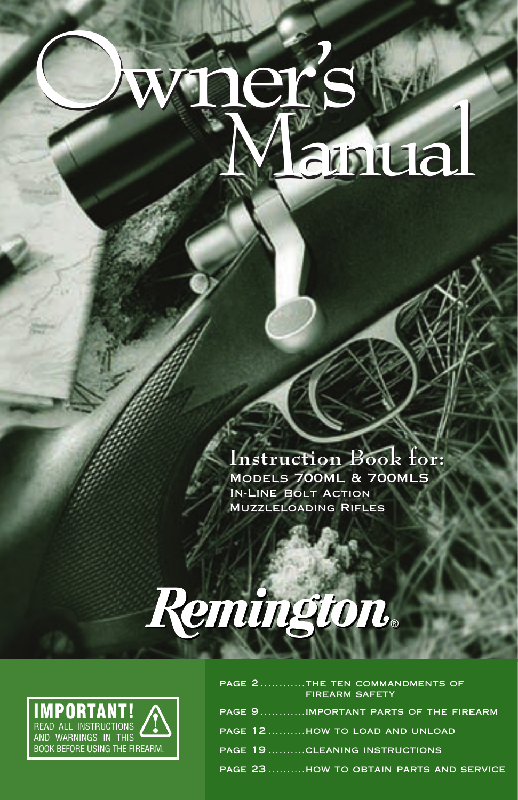# Owner! <sup>s</sup> Manual Owner' <sup>s</sup> Manual

**Instruction Book for: Instruction Book for:** Models 700ML & 700MLS Models 700ML & 700MLS In-Line Bolt Action In-Line Bolt Action Muzzleloading Rifles Muzzleloading Rifles

# Remington.



| PAGE 2THE TEN COMMANDMENTS OF<br><b>FIREARM SAFETY</b> |
|--------------------------------------------------------|
| PAGE 9IMPORTANT PARTS OF THE FIREARM                   |
| PAGE 12HOW TO LOAD AND UNLOAD                          |
| <b>PAGE 19 CLEANING INSTRUCTIONS</b>                   |
| PAGE 23 HOW TO OBTAIN PARTS AND SERVICE                |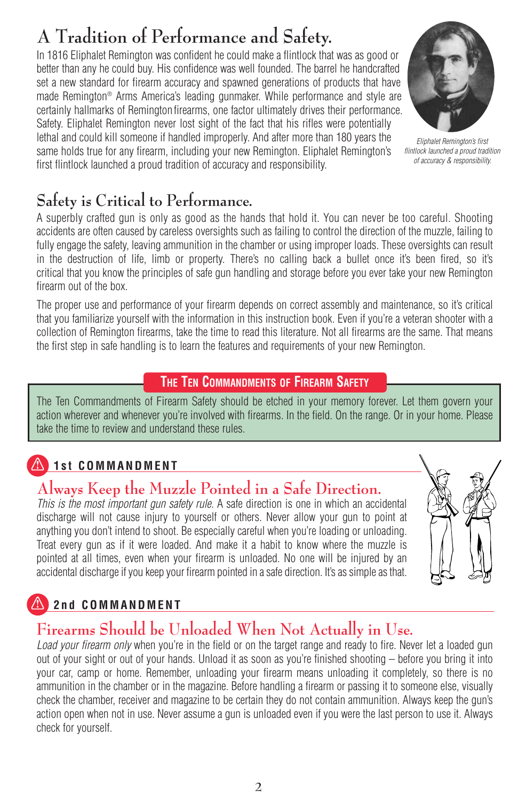# **A Tradition of Performance and Safety.**

In 1816 Eliphalet Remington was confident he could make a flintlock that was as good or better than any he could buy. His confidence was well founded. The barrel he handcrafted set a new standard for firearm accuracy and spawned generations of products that have made Remington® Arms America's leading gunmaker. While performance and style are certainly hallmarks of Remington firearms, one factor ultimately drives their performance. Safety. Eliphalet Remington never lost sight of the fact that his rifles were potentially lethal and could kill someone if handled improperly. And after more than 180 years the same holds true for any firearm, including your new Remington. Eliphalet Remington's first flintlock launched a proud tradition of accuracy and responsibility.





A superbly crafted gun is only as good as the hands that hold it. You can never be too careful. Shooting accidents are often caused by careless oversights such as failing to control the direction of the muzzle, failing to fully engage the safety, leaving ammunition in the chamber or using improper loads. These oversights can result in the destruction of life, limb or property. There's no calling back a bullet once it's been fired, so it's critical that you know the principles of safe gun handling and storage before you ever take your new Remington firearm out of the box.

The proper use and performance of your firearm depends on correct assembly and maintenance, so it's critical that you familiarize yourself with the information in this instruction book. Even if you're a veteran shooter with a collection of Remington firearms, take the time to read this literature. Not all firearms are the same. That means the first step in safe handling is to learn the features and requirements of your new Remington.

### **THE TEN COMMANDMENTS OF FIREARM SAFETY**

The Ten Commandments of Firearm Safety should be etched in your memory forever. Let them govern your action wherever and whenever you're involved with firearms. In the field. On the range. Or in your home. Please take the time to review and understand these rules.

# **1st COMMANDMENT**

# **Always Keep the Muzzle Pointed in a Safe Direction.**

*This is the most important gun safety rule*. A safe direction is one in which an accidental discharge will not cause injury to yourself or others. Never allow your gun to point at anything you don't intend to shoot. Be especially careful when you're loading or unloading. Treat every gun as if it were loaded. And make it a habit to know where the muzzle is pointed at all times, even when your firearm is unloaded. No one will be injured by an accidental discharge if you keep your firearm pointed in a safe direction. It's as simple as that.

# **2nd COMMANDMENT**

# **Firearms Should be Unloaded When Not Actually in Use.**

*Load your firearm only* when you're in the field or on the target range and ready to fire. Never let a loaded gun out of your sight or out of your hands. Unload it as soon as you're finished shooting – before you bring it into your car, camp or home. Remember, unloading your firearm means unloading it completely, so there is no ammunition in the chamber or in the magazine. Before handling a firearm or passing it to someone else, visually check the chamber, receiver and magazine to be certain they do not contain ammunition. Always keep the gun's action open when not in use. Never assume a gun is unloaded even if you were the last person to use it. Always check for yourself.

*Eliphalet Remington's first flintlock launched a proud tradition of accuracy & responsibility.*

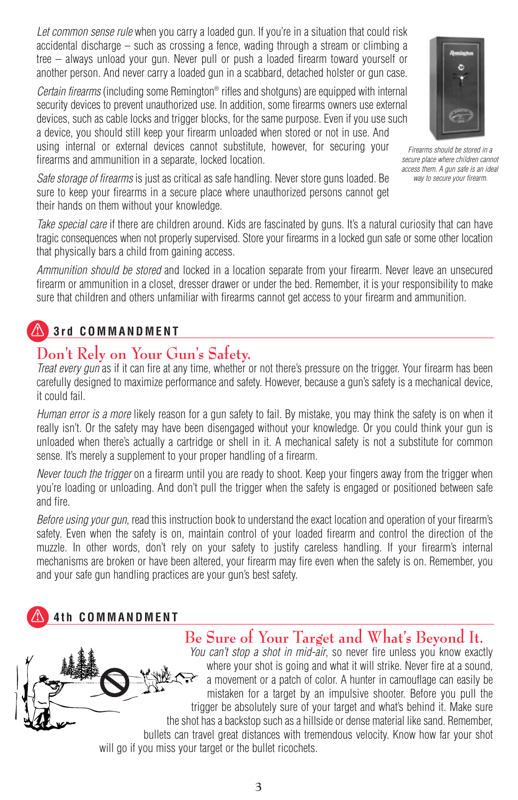*Let common sense rule* when you carry a loaded gun. If you're in a situation that could risk accidental discharge – such as crossing a fence, wading through a stream or climbing a tree – always unload your gun. Never pull or push a loaded firearm toward yourself or another person. And never carry a loaded gun in a scabbard, detached holster or gun case.

*Certain firearms* (including some Remington® rifles and shotguns) are equipped with internal security devices to prevent unauthorized use. In addition, some firearms owners use external devices, such as cable locks and trigger blocks, for the same purpose. Even if you use such a device, you should still keep your firearm unloaded when stored or not in use. And using internal or external devices cannot substitute, however, for securing your firearms and ammunition in a separate, locked location.



*Firearms should be stored in a secure place where children cannot access them. A gun safe is an ideal way to secure your firearm.*

*Safe storage of firearms* is just as critical as safe handling. Never store guns loaded. Be sure to keep your firearms in a secure place where unauthorized persons cannot get their hands on them without your knowledge.

*Take special care* if there are children around. Kids are fascinated by guns. It's a natural curiosity that can have tragic consequences when not properly supervised. Store your firearms in a locked gun safe or some other location that physically bars a child from gaining access.

*Ammunition should be stored* and locked in a location separate from your firearm. Never leave an unsecured firearm or ammunition in a closet, dresser drawer or under the bed. Remember, it is your responsibility to make sure that children and others unfamiliar with firearms cannot get access to your firearm and ammunition.

# **3rd COMMANDMENT**

# **Don't Rely on Your Gun's Safety.**

*Treat every gun* as if it can fire at any time, whether or not there's pressure on the trigger. Your firearm has been carefully designed to maximize performance and safety. However, because a gun's safety is a mechanical device, it could fail.

*Human error is a more* likely reason for a gun safety to fail. By mistake, you may think the safety is on when it really isn't. Or the safety may have been disengaged without your knowledge. Or you could think your gun is unloaded when there's actually a cartridge or shell in it. A mechanical safety is not a substitute for common sense. It's merely a supplement to your proper handling of a firearm.

*Never touch the trigger* on a firearm until you are ready to shoot. Keep your fingers away from the trigger when you're loading or unloading. And don't pull the trigger when the safety is engaged or positioned between safe and fire.

*Before using your gun*, read this instruction book to understand the exact location and operation of your firearm's safety. Even when the safety is on, maintain control of your loaded firearm and control the direction of the muzzle. In other words, don't rely on your safety to justify careless handling. If your firearm's internal mechanisms are broken or have been altered, your firearm may fire even when the safety is on. Remember, you and your safe gun handling practices are your gun's best safety.

# **4th COMMANDMENT**

### **Be Sure of Your Target and What's Beyond It.**

*You can't stop a shot in mid-air*, so never fire unless you know exactly where your shot is going and what it will strike. Never fire at a sound, a movement or a patch of color. A hunter in camouflage can easily be mistaken for a target by an impulsive shooter. Before you pull the trigger be absolutely sure of your target and what's behind it. Make sure the shot has a backstop such as a hillside or dense material like sand. Remember, bullets can travel great distances with tremendous velocity. Know how far your shot will go if you miss your target or the bullet ricochets.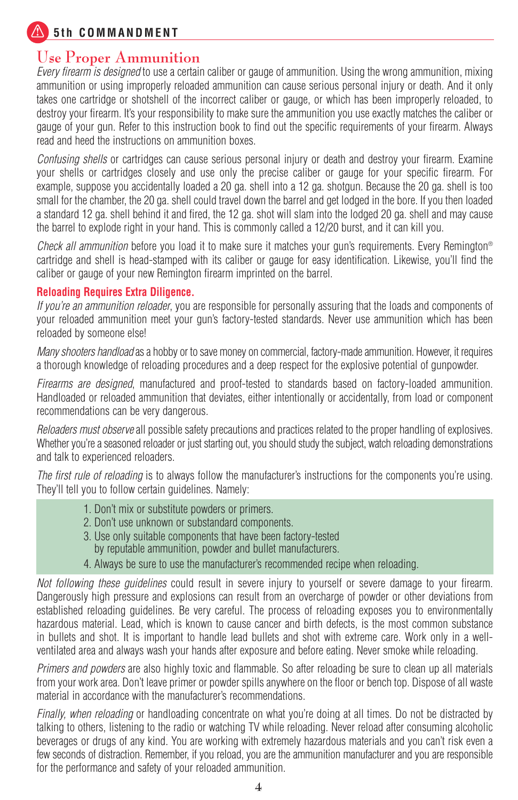**5th COMMANDMENT** 

### **Use Proper Ammunition**

*Every firearm is designed* to use a certain caliber or gauge of ammunition. Using the wrong ammunition, mixing ammunition or using improperly reloaded ammunition can cause serious personal injury or death. And it only takes one cartridge or shotshell of the incorrect caliber or gauge, or which has been improperly reloaded, to destroy your firearm. It's your responsibility to make sure the ammunition you use exactly matches the caliber or gauge of your gun. Refer to this instruction book to find out the specific requirements of your firearm. Always read and heed the instructions on ammunition boxes.

*Confusing shells* or cartridges can cause serious personal injury or death and destroy your firearm. Examine your shells or cartridges closely and use only the precise caliber or gauge for your specific firearm. For example, suppose you accidentally loaded a 20 ga. shell into a 12 ga. shotgun. Because the 20 ga. shell is too small for the chamber, the 20 ga. shell could travel down the barrel and get lodged in the bore. If you then loaded a standard 12 ga. shell behind it and fired, the 12 ga. shot will slam into the lodged 20 ga. shell and may cause the barrel to explode right in your hand. This is commonly called a 12/20 burst, and it can kill you.

*Check all ammunition* before you load it to make sure it matches your gun's requirements. Every Remington® cartridge and shell is head-stamped with its caliber or gauge for easy identification. Likewise, you'll find the caliber or gauge of your new Remington firearm imprinted on the barrel.

### **Reloading Requires Extra Diligence.**

*If you're an ammunition reloader*, you are responsible for personally assuring that the loads and components of your reloaded ammunition meet your gun's factory-tested standards. Never use ammunition which has been reloaded by someone else!

*Many shooters handload* as a hobby or to save money on commercial, factory-made ammunition. However, it requires a thorough knowledge of reloading procedures and a deep respect for the explosive potential of gunpowder.

*Firearms are designed*, manufactured and proof-tested to standards based on factory-loaded ammunition. Handloaded or reloaded ammunition that deviates, either intentionally or accidentally, from load or component recommendations can be very dangerous.

*Reloaders must observe* all possible safety precautions and practices related to the proper handling of explosives. Whether you're a seasoned reloader or just starting out, you should study the subject, watch reloading demonstrations and talk to experienced reloaders.

*The first rule of reloading* is to always follow the manufacturer's instructions for the components you're using. They'll tell you to follow certain guidelines. Namely:

- 1. Don't mix or substitute powders or primers.
- 2. Don't use unknown or substandard components.
- 3. Use only suitable components that have been factory-tested by reputable ammunition, powder and bullet manufacturers.
- 4. Always be sure to use the manufacturer's recommended recipe when reloading.

*Not following these guidelines* could result in severe injury to yourself or severe damage to your firearm. Dangerously high pressure and explosions can result from an overcharge of powder or other deviations from established reloading guidelines. Be very careful. The process of reloading exposes you to environmentally hazardous material. Lead, which is known to cause cancer and birth defects, is the most common substance in bullets and shot. It is important to handle lead bullets and shot with extreme care. Work only in a wellventilated area and always wash your hands after exposure and before eating. Never smoke while reloading.

*Primers and powders* are also highly toxic and flammable. So after reloading be sure to clean up all materials from your work area. Don't leave primer or powder spills anywhere on the floor or bench top. Dispose of all waste material in accordance with the manufacturer's recommendations.

*Finally, when reloading* or handloading concentrate on what you're doing at all times. Do not be distracted by talking to others, listening to the radio or watching TV while reloading. Never reload after consuming alcoholic beverages or drugs of any kind. You are working with extremely hazardous materials and you can't risk even a few seconds of distraction. Remember, if you reload, you are the ammunition manufacturer and you are responsible for the performance and safety of your reloaded ammunition.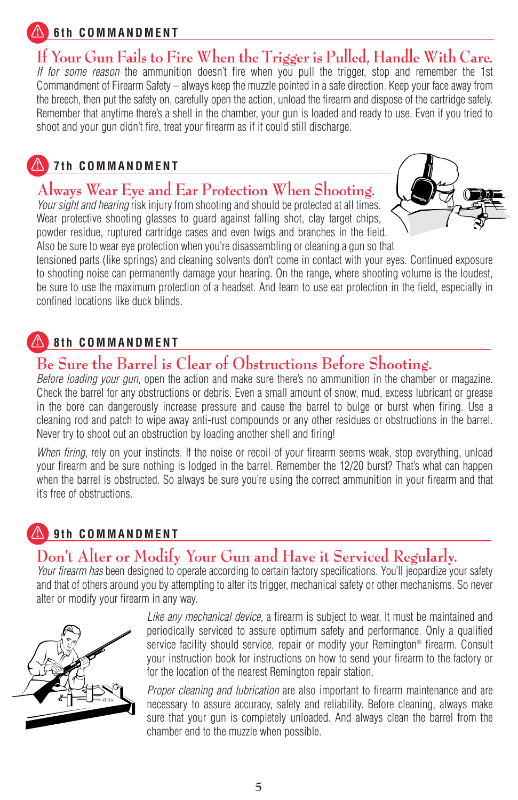## **6th COMMANDMENT**

# **If Your Gun Fails to Fire When the Trigger is Pulled, Handle With Care.**

*If for some reason* the ammunition doesn't fire when you pull the trigger, stop and remember the 1st Commandment of Firearm Safety – always keep the muzzle pointed in a safe direction. Keep your face away from the breech, then put the safety on, carefully open the action, unload the firearm and dispose of the cartridge safely. Remember that anytime there's a shell in the chamber, your gun is loaded and ready to use. Even if you tried to shoot and your gun didn't fire, treat your firearm as if it could still discharge.

# **7th COMMANDMENT**

# **Always Wear Eye and Ear Protection When Shooting.**

*Your sight and hearing* risk injury from shooting and should be protected at all times. Wear protective shooting glasses to quard against falling shot, clay target chips, powder residue, ruptured cartridge cases and even twigs and branches in the field. Also be sure to wear eye protection when you're disassembling or cleaning a gun so that



tensioned parts (like springs) and cleaning solvents don't come in contact with your eyes. Continued exposure to shooting noise can permanently damage your hearing. On the range, where shooting volume is the loudest, be sure to use the maximum protection of a headset. And learn to use ear protection in the field, especially in confined locations like duck blinds.

### **8th COMMANDMENT**

# **Be Sure the Barrel is Clear of Obstructions Before Shooting.**

*Before loading your gun*, open the action and make sure there's no ammunition in the chamber or magazine. Check the barrel for any obstructions or debris. Even a small amount of snow, mud, excess lubricant or grease in the bore can dangerously increase pressure and cause the barrel to bulge or burst when firing. Use a cleaning rod and patch to wipe away anti-rust compounds or any other residues or obstructions in the barrel. Never try to shoot out an obstruction by loading another shell and firing!

*When firing*, rely on your instincts. If the noise or recoil of your firearm seems weak, stop everything, unload your firearm and be sure nothing is lodged in the barrel. Remember the 12/20 burst? That's what can happen when the barrel is obstructed. So always be sure you're using the correct ammunition in your firearm and that it's free of obstructions.

### **9th COMMANDMENT**

# **Don't Alter or Modify Your Gun and Have it Serviced Regularly.**

*Your firearm has* been designed to operate according to certain factory specifications. You'll jeopardize your safety and that of others around you by attempting to alter its trigger, mechanical safety or other mechanisms. So never alter or modify your firearm in any way.



*Like any mechanical device*, a firearm is subject to wear. It must be maintained and periodically serviced to assure optimum safety and performance. Only a qualified service facility should service, repair or modify your Remington® firearm. Consult your instruction book for instructions on how to send your firearm to the factory or for the location of the nearest Remington repair station.

*Proper cleaning and lubrication* are also important to firearm maintenance and are necessary to assure accuracy, safety and reliability. Before cleaning, always make sure that your gun is completely unloaded. And always clean the barrel from the chamber end to the muzzle when possible.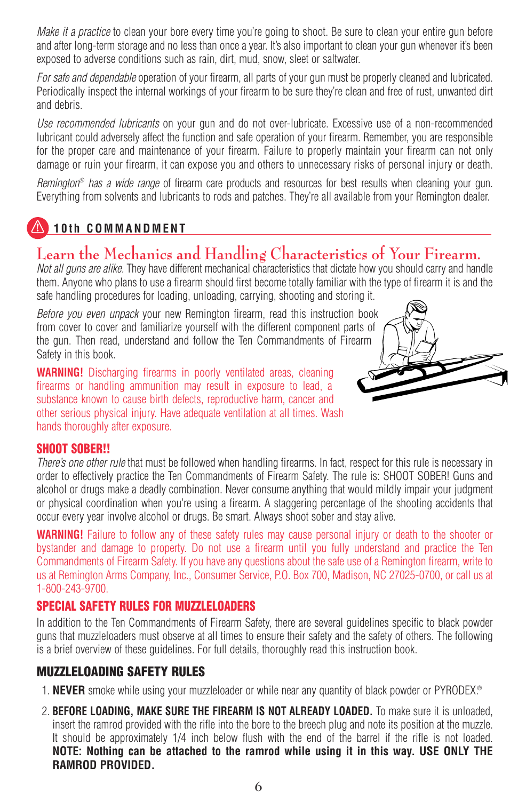*Make it a practice* to clean your bore every time you're going to shoot. Be sure to clean your entire gun before and after long-term storage and no less than once a year. It's also important to clean your gun whenever it's been exposed to adverse conditions such as rain, dirt, mud, snow, sleet or saltwater.

*For safe and dependable* operation of your firearm, all parts of your gun must be properly cleaned and lubricated. Periodically inspect the internal workings of your firearm to be sure they're clean and free of rust, unwanted dirt and debris.

*Use recommended lubricants* on your gun and do not over-lubricate. Excessive use of a non-recommended lubricant could adversely affect the function and safe operation of your firearm. Remember, you are responsible for the proper care and maintenance of your firearm. Failure to properly maintain your firearm can not only damage or ruin your firearm, it can expose you and others to unnecessary risks of personal injury or death.

*Remington® has a wide range* of firearm care products and resources for best results when cleaning your gun. Everything from solvents and lubricants to rods and patches. They're all available from your Remington dealer.

### **10th COMMANDMENT**

### **Learn the Mechanics and Handling Characteristics of Your Firearm.**

*Not all guns are alike.* They have different mechanical characteristics that dictate how you should carry and handle them. Anyone who plans to use a firearm should first become totally familiar with the type of firearm it is and the safe handling procedures for loading, unloading, carrying, shooting and storing it.

*Before you even unpack* your new Remington firearm, read this instruction book from cover to cover and familiarize yourself with the different component parts of the gun. Then read, understand and follow the Ten Commandments of Firearm Safety in this book.

**WARNING!** Discharging firearms in poorly ventilated areas, cleaning firearms or handling ammunition may result in exposure to lead, a substance known to cause birth defects, reproductive harm, cancer and other serious physical injury. Have adequate ventilation at all times. Wash hands thoroughly after exposure.



### **SHOOT SOBER!!**

*There's one other rule* that must be followed when handling firearms. In fact, respect for this rule is necessary in order to effectively practice the Ten Commandments of Firearm Safety. The rule is: SHOOT SOBER! Guns and alcohol or drugs make a deadly combination. Never consume anything that would mildly impair your judgment or physical coordination when you're using a firearm. A staggering percentage of the shooting accidents that occur every year involve alcohol or drugs. Be smart. Always shoot sober and stay alive.

**WARNING!** Failure to follow any of these safety rules may cause personal injury or death to the shooter or bystander and damage to property. Do not use a firearm until you fully understand and practice the Ten Commandments of Firearm Safety. If you have any questions about the safe use of a Remington firearm, write to us at Remington Arms Company, Inc., Consumer Service, P.O. Box 700, Madison, NC 27025-0700, or call us at 1-800-243-9700.

### **SPECIAL SAFETY RULES FOR MUZZLELOADERS**

In addition to the Ten Commandments of Firearm Safety, there are several guidelines specific to black powder guns that muzzleloaders must observe at all times to ensure their safety and the safety of others. The following is a brief overview of these guidelines. For full details, thoroughly read this instruction book.

### **MUZZLELOADING SAFETY RULES**

- 1. **NEVER** smoke while using your muzzleloader or while near any quantity of black powder or PYRODEX.®
- 2. **BEFORE LOADING, MAKE SURE THE FIREARM IS NOT ALREADY LOADED.** To make sure it is unloaded, insert the ramrod provided with the rifle into the bore to the breech plug and note its position at the muzzle. It should be approximately 1/4 inch below flush with the end of the barrel if the rifle is not loaded. **NOTE: Nothing can be attached to the ramrod while using it in this way. USE ONLY THE RAMROD PROVIDED.**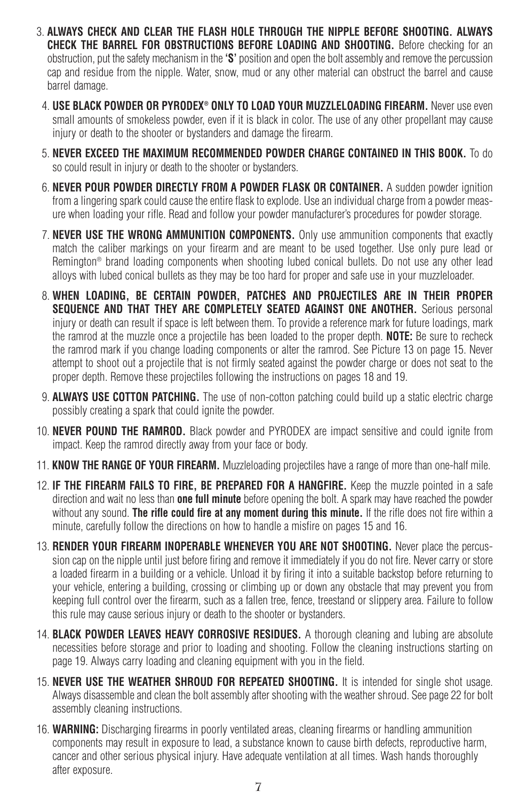- 3. **ALWAYS CHECK AND CLEAR THE FLASH HOLE THROUGH THE NIPPLE BEFORE SHOOTING. ALWAYS CHECK THE BARREL FOR OBSTRUCTIONS BEFORE LOADING AND SHOOTING.** Before checking for an obstruction, put the safety mechanism in the **'S'** position and open the bolt assembly and remove the percussion cap and residue from the nipple. Water, snow, mud or any other material can obstruct the barrel and cause barrel damage.
- 4. **USE BLACK POWDER OR PYRODEX® ONLY TO LOAD YOUR MUZZLELOADING FIREARM.** Never use even small amounts of smokeless powder, even if it is black in color. The use of any other propellant may cause injury or death to the shooter or bystanders and damage the firearm.
- 5. **NEVER EXCEED THE MAXIMUM RECOMMENDED POWDER CHARGE CONTAINED IN THIS BOOK.** To do so could result in injury or death to the shooter or bystanders.
- 6. **NEVER POUR POWDER DIRECTLY FROM A POWDER FLASK OR CONTAINER.** A sudden powder ignition from a lingering spark could cause the entire flask to explode. Use an individual charge from a powder measure when loading your rifle. Read and follow your powder manufacturer's procedures for powder storage.
- 7. **NEVER USE THE WRONG AMMUNITION COMPONENTS.** Only use ammunition components that exactly match the caliber markings on your firearm and are meant to be used together. Use only pure lead or Remington® brand loading components when shooting lubed conical bullets. Do not use any other lead alloys with lubed conical bullets as they may be too hard for proper and safe use in your muzzleloader.
- 8. **WHEN LOADING, BE CERTAIN POWDER, PATCHES AND PROJECTILES ARE IN THEIR PROPER SEQUENCE AND THAT THEY ARE COMPLETELY SEATED AGAINST ONE ANOTHER.** Serious personal iniurv or death can result if space is left between them. To provide a reference mark for future loadings, mark the ramrod at the muzzle once a projectile has been loaded to the proper depth. **NOTE:** Be sure to recheck the ramrod mark if you change loading components or alter the ramrod. See Picture 13 on page 15. Never attempt to shoot out a projectile that is not firmly seated against the powder charge or does not seat to the proper depth. Remove these projectiles following the instructions on pages 18 and 19.
- 9. **ALWAYS USE COTTON PATCHING.** The use of non-cotton patching could build up a static electric charge possibly creating a spark that could ignite the powder.
- 10. **NEVER POUND THE RAMROD.** Black powder and PYRODEX are impact sensitive and could ignite from impact. Keep the ramrod directly away from your face or body.
- 11. **KNOW THE RANGE OF YOUR FIREARM.** Muzzleloading projectiles have a range of more than one-half mile.
- 12. **IF THE FIREARM FAILS TO FIRE, BE PREPARED FOR A HANGFIRE.** Keep the muzzle pointed in a safe direction and wait no less than **one full minute** before opening the bolt. A spark may have reached the powder without any sound. **The rifle could fire at any moment during this minute.** If the rifle does not fire within a minute, carefully follow the directions on how to handle a misfire on pages 15 and 16.
- 13. **RENDER YOUR FIREARM INOPERABLE WHENEVER YOU ARE NOT SHOOTING.** Never place the percussion cap on the nipple until just before firing and remove it immediately if you do not fire. Never carry or store a loaded firearm in a building or a vehicle. Unload it by firing it into a suitable backstop before returning to your vehicle, entering a building, crossing or climbing up or down any obstacle that may prevent you from keeping full control over the firearm, such as a fallen tree, fence, treestand or slippery area. Failure to follow this rule may cause serious injury or death to the shooter or bystanders.
- 14. **BLACK POWDER LEAVES HEAVY CORROSIVE RESIDUES.** A thorough cleaning and lubing are absolute necessities before storage and prior to loading and shooting. Follow the cleaning instructions starting on page 19. Always carry loading and cleaning equipment with you in the field.
- 15. **NEVER USE THE WEATHER SHROUD FOR REPEATED SHOOTING.** It is intended for single shot usage. Always disassemble and clean the bolt assembly after shooting with the weather shroud. See page 22 for bolt assembly cleaning instructions.
- 16. **WARNING:** Discharging firearms in poorly ventilated areas, cleaning firearms or handling ammunition components may result in exposure to lead, a substance known to cause birth defects, reproductive harm, cancer and other serious physical injury. Have adequate ventilation at all times. Wash hands thoroughly after exposure.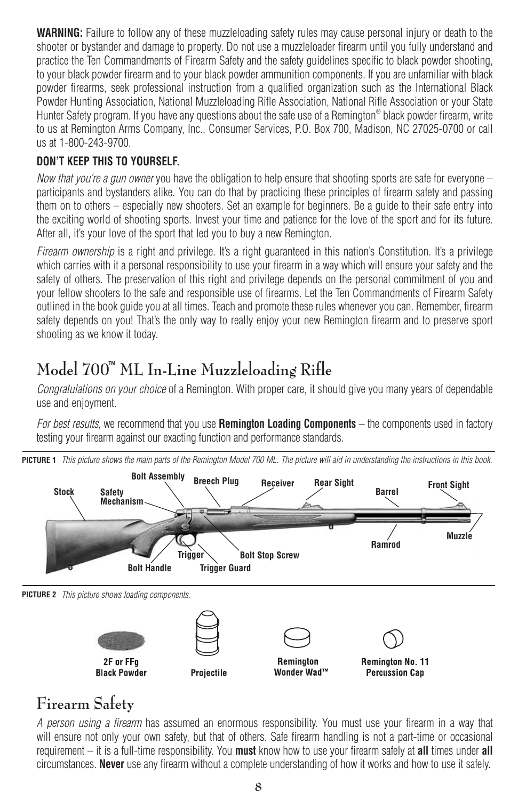**WARNING:** Failure to follow any of these muzzleloading safety rules may cause personal injury or death to the shooter or bystander and damage to property. Do not use a muzzleloader firearm until you fully understand and practice the Ten Commandments of Firearm Safety and the safety guidelines specific to black powder shooting, to your black powder firearm and to your black powder ammunition components. If you are unfamiliar with black powder firearms, seek professional instruction from a qualified organization such as the International Black Powder Hunting Association, National Muzzleloading Rifle Association, National Rifle Association or your State Hunter Safety program. If you have any questions about the safe use of a Remington® black powder firearm, write to us at Remington Arms Company, Inc., Consumer Services, P.O. Box 700, Madison, NC 27025-0700 or call us at 1-800-243-9700.

### **DON'T KEEP THIS TO YOURSELF.**

*Now that you're a gun owner* you have the obligation to help ensure that shooting sports are safe for everyone – participants and bystanders alike. You can do that by practicing these principles of firearm safety and passing them on to others – especially new shooters. Set an example for beginners. Be a guide to their safe entry into the exciting world of shooting sports. Invest your time and patience for the love of the sport and for its future. After all, it's your love of the sport that led you to buy a new Remington.

*Firearm ownership* is a right and privilege. It's a right guaranteed in this nation's Constitution. It's a privilege which carries with it a personal responsibility to use your firearm in a way which will ensure your safety and the safety of others. The preservation of this right and privilege depends on the personal commitment of you and your fellow shooters to the safe and responsible use of firearms. Let the Ten Commandments of Firearm Safety outlined in the book guide you at all times. Teach and promote these rules whenever you can. Remember, firearm safety depends on you! That's the only way to really enjoy your new Remington firearm and to preserve sport shooting as we know it today.

# **Model 700™ ML In-Line Muzzleloading Rifle**

*Congratulations on your choice* of a Remington. With proper care, it should give you many years of dependable use and enjoyment.

*For best results*, we recommend that you use **Remington Loading Components** – the components used in factory testing your firearm against our exacting function and performance standards.





# **Firearm Safety**

*A person using a firearm* has assumed an enormous responsibility. You must use your firearm in a way that will ensure not only your own safety, but that of others. Safe firearm handling is not a part-time or occasional requirement – it is a full-time responsibility. You **must** know how to use your firearm safely at **all** times under **all** circumstances. **Never** use any firearm without a complete understanding of how it works and how to use it safely.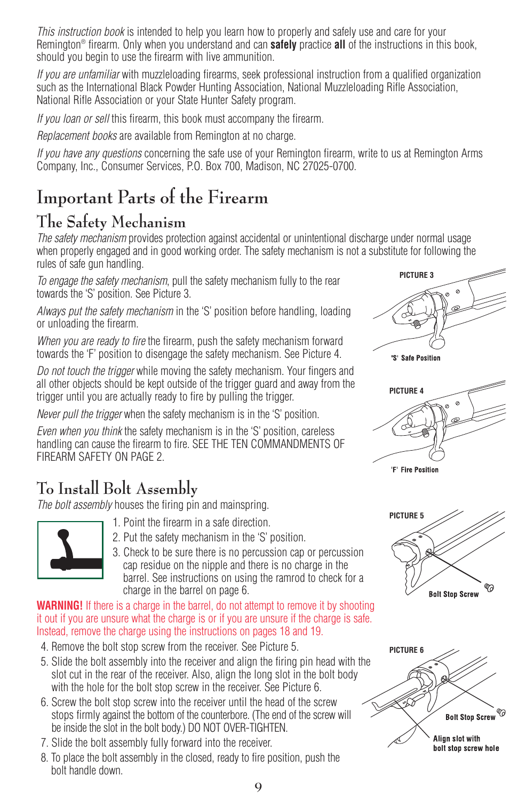*This instruction book* is intended to help you learn how to properly and safely use and care for your Remington® firearm. Only when you understand and can **safely** practice **all** of the instructions in this book, should you begin to use the firearm with live ammunition.

*If you are unfamiliar* with muzzleloading firearms, seek professional instruction from a qualified organization such as the International Black Powder Hunting Association, National Muzzleloading Rifle Association, National Rifle Association or your State Hunter Safety program.

*If you loan or sell* this firearm, this book must accompany the firearm.

*Replacement books* are available from Remington at no charge.

*If you have any questions* concerning the safe use of your Remington firearm, write to us at Remington Arms Company, Inc., Consumer Services, P.O. Box 700, Madison, NC 27025-0700.

# **Important Parts of the Firearm**

# **The Safety Mechanism**

*The safety mechanism* provides protection against accidental or unintentional discharge under normal usage when properly engaged and in good working order. The safety mechanism is not a substitute for following the rules of safe gun handling.

*To engage the safety mechanism*, pull the safety mechanism fully to the rear towards the 'S' position. See Picture 3.

*Always put the safety mechanism* in the 'S' position before handling, loading or unloading the firearm.

*When you are ready to fire* the firearm, push the safety mechanism forward towards the 'F' position to disengage the safety mechanism. See Picture 4.

*Do not touch the trigger* while moving the safety mechanism. Your fingers and all other objects should be kept outside of the trigger guard and away from the trigger until you are actually ready to fire by pulling the trigger.

*Never pull the trigger* when the safety mechanism is in the 'S' position.

*Even when you think* the safety mechanism is in the 'S' position, careless handling can cause the firearm to fire. SEE THE TEN COMMANDMENTS OF FIREARM SAFETY ON PAGE 2.

# **To Install Bolt Assembly**

*The bolt assembly* houses the firing pin and mainspring.



- 1. Point the firearm in a safe direction.
- 2. Put the safety mechanism in the 'S' position.
- 3. Check to be sure there is no percussion cap or percussion cap residue on the nipple and there is no charge in the barrel. See instructions on using the ramrod to check for a charge in the barrel on page 6.

**WARNING!** If there is a charge in the barrel, do not attempt to remove it by shooting it out if you are unsure what the charge is or if you are unsure if the charge is safe. Instead, remove the charge using the instructions on pages 18 and 19.

- 4. Remove the bolt stop screw from the receiver. See Picture 5.
- 5. Slide the bolt assembly into the receiver and align the firing pin head with the slot cut in the rear of the receiver. Also, align the long slot in the bolt body with the hole for the bolt stop screw in the receiver. See Picture 6.
- 6. Screw the bolt stop screw into the receiver until the head of the screw stops firmly against the bottom of the counterbore. (The end of the screw will be inside the slot in the bolt body.) DO NOT OVER-TIGHTEN.
- 7. Slide the bolt assembly fully forward into the receiver.
- 8. To place the bolt assembly in the closed, ready to fire position, push the bolt handle down.







**Bolt Stop Screw** 

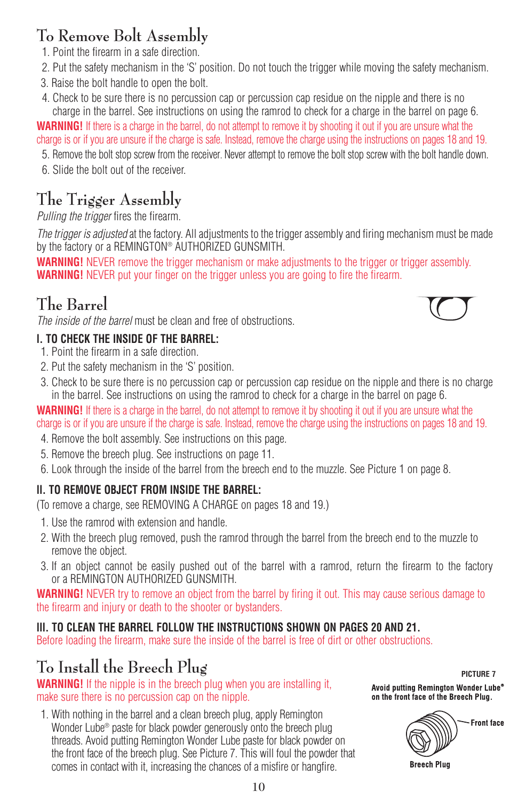# **To Remove Bolt Assembly**

- 1. Point the firearm in a safe direction.
- 2. Put the safety mechanism in the 'S' position. Do not touch the trigger while moving the safety mechanism.
- 3. Raise the bolt handle to open the bolt.
- 4. Check to be sure there is no percussion cap or percussion cap residue on the nipple and there is no charge in the barrel. See instructions on using the ramrod to check for a charge in the barrel on page 6.

**WARNING!** If there is a charge in the barrel, do not attempt to remove it by shooting it out if you are unsure what the charge is or if you are unsure if the charge is safe. Instead, remove the charge using the instructions on pages 18 and 19.

- 5. Remove the bolt stop screw from the receiver. Never attempt to remove the bolt stop screw with the bolt handle down.
- 6. Slide the bolt out of the receiver.

# **The Trigger Assembly**

*Pulling the trigger* fires the firearm.

*The trigger is adjusted* at the factory. All adjustments to the trigger assembly and firing mechanism must be made by the factory or a REMINGTON® AUTHORIZED GUNSMITH.

**WARNING!** NEVER remove the trigger mechanism or make adjustments to the trigger or trigger assembly. **WARNING!** NEVER put your finger on the trigger unless you are going to fire the firearm.

# **The Barrel**

*The inside of the barrel* must be clean and free of obstructions.

### **l. TO CHECK THE INSIDE OF THE BARREL:**

- 1. Point the firearm in a safe direction.
- 2. Put the safety mechanism in the 'S' position.
- 3. Check to be sure there is no percussion cap or percussion cap residue on the nipple and there is no charge in the barrel. See instructions on using the ramrod to check for a charge in the barrel on page 6.

**WARNING!** If there is a charge in the barrel, do not attempt to remove it by shooting it out if you are unsure what the charge is or if you are unsure if the charge is safe. Instead, remove the charge using the instructions on pages 18 and 19.

- 4. Remove the bolt assembly. See instructions on this page.
- 5. Remove the breech plug. See instructions on page 11.
- 6. Look through the inside of the barrel from the breech end to the muzzle. See Picture 1 on page 8.

### **ll. TO REMOVE OBJECT FROM INSIDE THE BARREL:**

(To remove a charge, see REMOVING A CHARGE on pages 18 and 19.)

- 1. Use the ramrod with extension and handle.
- 2. With the breech plug removed, push the ramrod through the barrel from the breech end to the muzzle to remove the object.
- 3. If an object cannot be easily pushed out of the barrel with a ramrod, return the firearm to the factory or a REMINGTON AUTHORIZED GUNSMITH.

**WARNING!** NEVER try to remove an object from the barrel by firing it out. This may cause serious damage to the firearm and injury or death to the shooter or bystanders.

### **lll. TO CLEAN THE BARREL FOLLOW THE INSTRUCTIONS SHOWN ON PAGES 20 AND 21.**

Before loading the firearm, make sure the inside of the barrel is free of dirt or other obstructions.

# **To Install the Breech Plug**

**WARNING!** If the nipple is in the breech plug when you are installing it, make sure there is no percussion cap on the nipple.

1. With nothing in the barrel and a clean breech plug, apply Remington Wonder Lube<sup>®</sup> paste for black powder generously onto the breech plug threads. Avoid putting Remington Wonder Lube paste for black powder on the front face of the breech plug. See Picture 7. This will foul the powder that comes in contact with it, increasing the chances of a misfire or hangfire.

**PICTURE 7**Avoid putting Remington Wonder Lube<sup>®</sup> on the front face of the Breech Plug.



**Breech Plug**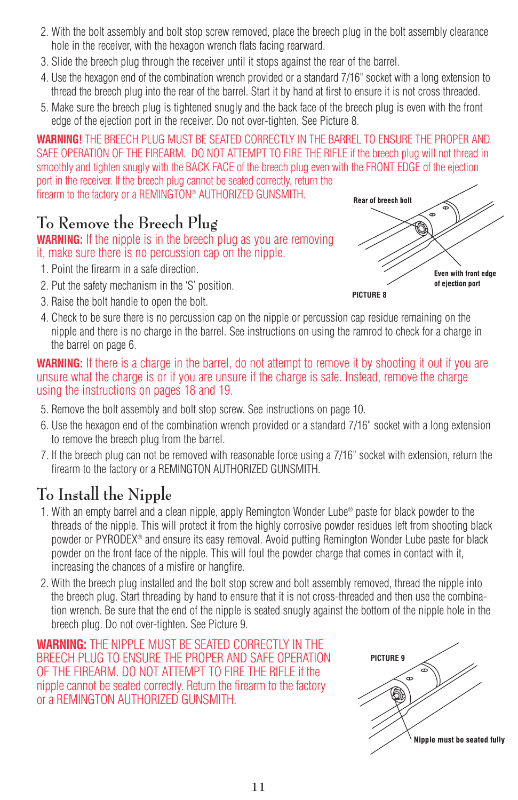- 2. With the bolt assembly and bolt stop screw removed, place the breech plug in the bolt assembly clearance hole in the receiver, with the hexagon wrench flats facing rearward.
- 3. Slide the breech plug through the receiver until it stops against the rear of the barrel.
- 4. Use the hexagon end of the combination wrench provided or a standard 7/16" socket with a long extension to thread the breech plug into the rear of the barrel. Start it by hand at first to ensure it is not cross threaded.
- 5. Make sure the breech plug is tightened snugly and the back face of the breech plug is even with the front edge of the ejection port in the receiver. Do not over-tighten. See Picture 8.

**WARNING!** THE BREECH PLUG MUST BE SEATED CORRECTLY IN THE BARREL TO ENSURE THE PROPER AND SAFE OPERATION OF THE FIREARM. DO NOT ATTEMPT TO FIRE THE RIFLE if the breech plug will not thread in smoothly and tighten snugly with the BACK FACE of the breech plug even with the FRONT EDGE of the ejection port in the receiver. If the breech plug cannot be seated correctly, return the firearm to the factory or a REMINGTON® AUTHORIZED GUNSMITH.

# **To Remove the Breech Plug**

### **WARNING:** If the nipple is in the breech plug as you are removing it, make sure there is no percussion cap on the nipple.

- 1. Point the firearm in a safe direction.
- 2. Put the safety mechanism in the 'S' position.
- 3. Raise the bolt handle to open the bolt.



4. Check to be sure there is no percussion cap on the nipple or percussion cap residue remaining on the nipple and there is no charge in the barrel. See instructions on using the ramrod to check for a charge in the barrel on page 6.

**WARNING:** If there is a charge in the barrel, do not attempt to remove it by shooting it out if you are unsure what the charge is or if you are unsure if the charge is safe. Instead, remove the charge using the instructions on pages 18 and 19.

- 5. Remove the bolt assembly and bolt stop screw. See instructions on page 10.
- 6. Use the hexagon end of the combination wrench provided or a standard 7/16" socket with a long extension to remove the breech plug from the barrel.
- 7. If the breech plug can not be removed with reasonable force using a 7/16" socket with extension, return the firearm to the factory or a REMINGTON AUTHORIZED GUNSMITH.

# **To Install the Nipple**

- 1. With an empty barrel and a clean nipple, apply Remington Wonder Lube® paste for black powder to the threads of the nipple. This will protect it from the highly corrosive powder residues left from shooting black powder or PYRODEX® and ensure its easy removal. Avoid putting Remington Wonder Lube paste for black powder on the front face of the nipple. This will foul the powder charge that comes in contact with it, increasing the chances of a misfire or hangfire.
- 2. With the breech plug installed and the bolt stop screw and bolt assembly removed, thread the nipple into the breech plug. Start threading by hand to ensure that it is not cross-threaded and then use the combination wrench. Be sure that the end of the nipple is seated snugly against the bottom of the nipple hole in the breech plug. Do not over-tighten. See Picture 9.

**WARNING:** THE NIPPLE MUST BE SEATED CORRECTLY IN THE BREECH PLUG TO ENSURE THE PROPER AND SAFE OPERATION OF THE FIREARM. DO NOT ATTEMPT TO FIRE THE RIFLE if the nipple cannot be seated correctly. Return the firearm to the factory or a REMINGTON AUTHORIZED GUNSMITH.

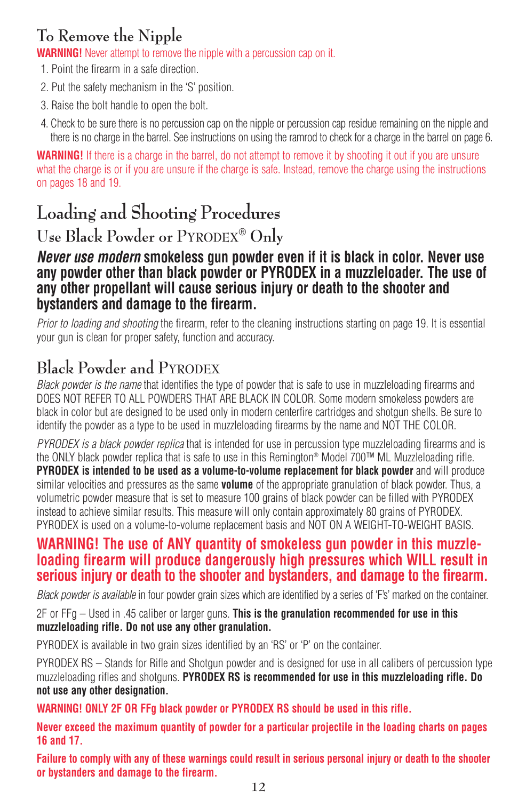# **To Remove the Nipple**

**WARNING!** Never attempt to remove the nipple with a percussion cap on it.

- 1. Point the firearm in a safe direction.
- 2. Put the safety mechanism in the 'S' position.
- 3. Raise the bolt handle to open the bolt.
- 4. Check to be sure there is no percussion cap on the nipple or percussion cap residue remaining on the nipple and there is no charge in the barrel. See instructions on using the ramrod to check for a charge in the barrel on page 6.

**WARNING!** If there is a charge in the barrel, do not attempt to remove it by shooting it out if you are unsure what the charge is or if you are unsure if the charge is safe. Instead, remove the charge using the instructions on pages 18 and 19.

# **Loading and Shooting Procedures**

**Use Black Powder or PYRODEX**® **Only**

### *Never use modern* **smokeless gun powder even if it is black in color. Never use any powder other than black powder or PYRODEX in a muzzleloader. The use of any other propellant will cause serious injury or death to the shooter and bystanders and damage to the firearm.**

*Prior to loading and shooting* the firearm, refer to the cleaning instructions starting on page 19. It is essential your gun is clean for proper safety, function and accuracy.

# **Black Powder and PYRODEX**

*Black powder is the name* that identifies the type of powder that is safe to use in muzzleloading firearms and DOES NOT REFER TO ALL POWDERS THAT ARE BLACK IN COLOR. Some modern smokeless powders are black in color but are designed to be used only in modern centerfire cartridges and shotgun shells. Be sure to identify the powder as a type to be used in muzzleloading firearms by the name and NOT THE COLOR.

*PYRODEX is a black powder replica* that is intended for use in percussion type muzzleloading firearms and is the ONLY black powder replica that is safe to use in this Remington® Model 700™ ML Muzzleloading rifle. **PYRODEX is intended to be used as a volume-to-volume replacement for black powder** and will produce similar velocities and pressures as the same **volume** of the appropriate granulation of black powder. Thus, a volumetric powder measure that is set to measure 100 grains of black powder can be filled with PYRODEX instead to achieve similar results. This measure will only contain approximately 80 grains of PYRODEX. PYRODEX is used on a volume-to-volume replacement basis and NOT ON A WEIGHT-TO-WEIGHT BASIS.

### **WARNING! The use of ANY quantity of smokeless gun powder in this muzzleloading firearm will produce dangerously high pressures which WILL result in serious injury or death to the shooter and bystanders, and damage to the firearm.**

*Black powder is available* in four powder grain sizes which are identified by a series of 'F's' marked on the container.

2F or FFg – Used in .45 caliber or larger guns. **This is the granulation recommended for use in this muzzleloading rifle. Do not use any other granulation.**

PYRODEX is available in two grain sizes identified by an 'RS' or 'P' on the container.

PYRODEX RS – Stands for Rifle and Shotgun powder and is designed for use in all calibers of percussion type muzzleloading rifles and shotguns. **PYRODEX RS is recommended for use in this muzzleloading rifle. Do not use any other designation.**

**WARNING! ONLY 2F OR FFg black powder or PYRODEX RS should be used in this rifle.**

**Never exceed the maximum quantity of powder for a particular projectile in the loading charts on pages 16 and 17.**

**Failure to comply with any of these warnings could result in serious personal injury or death to the shooter or bystanders and damage to the firearm.**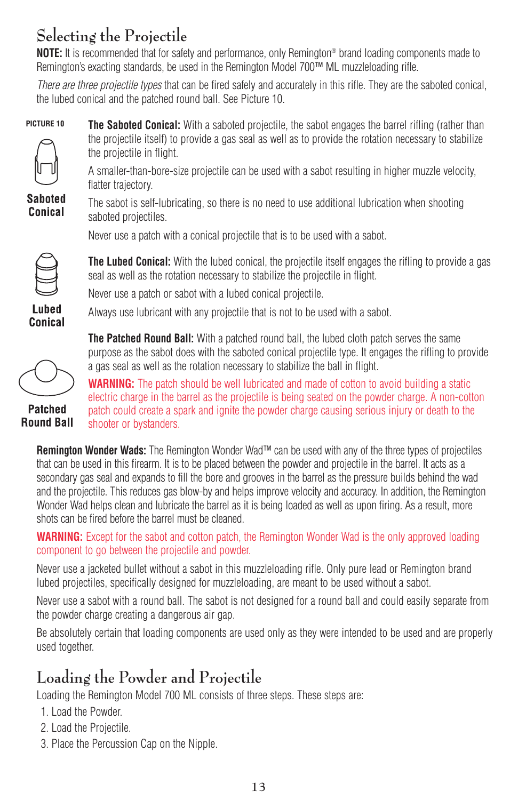# **Selecting the Projectile**

**NOTE:** It is recommended that for safety and performance, only Remington® brand loading components made to Remington's exacting standards, be used in the Remington Model 700™ ML muzzleloading rifle.

*There are three projectile types* that can be fired safely and accurately in this rifle. They are the saboted conical, the lubed conical and the patched round ball. See Picture 10.



**The Saboted Conical:** With a saboted projectile, the sabot engages the barrel rifling (rather than the projectile itself) to provide a gas seal as well as to provide the rotation necessary to stabilize the projectile in flight.



A smaller-than-bore-size projectile can be used with a sabot resulting in higher muzzle velocity, flatter trajectory.

**Saboted Conical** 

The sabot is self-lubricating, so there is no need to use additional lubrication when shooting saboted projectiles.

Never use a patch with a conical projectile that is to be used with a sabot.



Lubed Conical seal as well as the rotation necessary to stabilize the projectile in flight. Never use a patch or sabot with a lubed conical projectile.

Always use lubricant with any projectile that is not to be used with a sabot.



**Patched Round Ball**  **The Patched Round Ball:** With a patched round ball, the lubed cloth patch serves the same purpose as the sabot does with the saboted conical projectile type. It engages the rifling to provide a gas seal as well as the rotation necessary to stabilize the ball in flight.

**The Lubed Conical:** With the lubed conical, the projectile itself engages the rifling to provide a gas

**WARNING:** The patch should be well lubricated and made of cotton to avoid building a static electric charge in the barrel as the projectile is being seated on the powder charge. A non-cotton patch could create a spark and ignite the powder charge causing serious injury or death to the shooter or bystanders.

**Remington Wonder Wads:** The Remington Wonder Wad™ can be used with any of the three types of projectiles that can be used in this firearm. It is to be placed between the powder and projectile in the barrel. It acts as a secondary gas seal and expands to fill the bore and grooves in the barrel as the pressure builds behind the wad and the projectile. This reduces gas blow-by and helps improve velocity and accuracy. In addition, the Remington Wonder Wad helps clean and lubricate the barrel as it is being loaded as well as upon firing. As a result, more shots can be fired before the barrel must be cleaned.

**WARNING:** Except for the sabot and cotton patch, the Remington Wonder Wad is the only approved loading component to go between the projectile and powder.

Never use a jacketed bullet without a sabot in this muzzleloading rifle. Only pure lead or Remington brand lubed projectiles, specifically designed for muzzleloading, are meant to be used without a sabot.

Never use a sabot with a round ball. The sabot is not designed for a round ball and could easily separate from the powder charge creating a dangerous air gap.

Be absolutely certain that loading components are used only as they were intended to be used and are properly used together.

# **Loading the Powder and Projectile**

Loading the Remington Model 700 ML consists of three steps. These steps are:

- 1. Load the Powder.
- 2. Load the Projectile.
- 3. Place the Percussion Cap on the Nipple.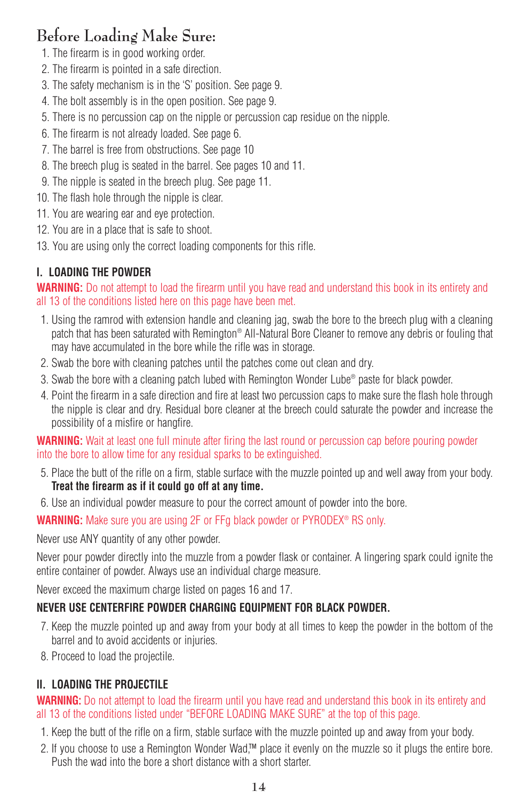# **Before Loading Make Sure:**

- 1. The firearm is in good working order.
- 2. The firearm is pointed in a safe direction.
- 3. The safety mechanism is in the 'S' position. See page 9.
- 4. The bolt assembly is in the open position. See page 9.
- 5. There is no percussion cap on the nipple or percussion cap residue on the nipple.
- 6. The firearm is not already loaded. See page 6.
- 7. The barrel is free from obstructions. See page 10
- 8. The breech plug is seated in the barrel. See pages 10 and 11.
- 9. The nipple is seated in the breech plug. See page 11.
- 10. The flash hole through the nipple is clear.
- 11. You are wearing ear and eye protection.
- 12. You are in a place that is safe to shoot.
- 13. You are using only the correct loading components for this rifle.

### **I. LOADING THE POWDER**

**WARNING:** Do not attempt to load the firearm until you have read and understand this book in its entirety and all 13 of the conditions listed here on this page have been met.

- 1. Using the ramrod with extension handle and cleaning jag, swab the bore to the breech plug with a cleaning patch that has been saturated with Remington® All-Natural Bore Cleaner to remove any debris or fouling that may have accumulated in the bore while the rifle was in storage.
- 2. Swab the bore with cleaning patches until the patches come out clean and dry.
- 3. Swab the bore with a cleaning patch lubed with Remington Wonder Lube® paste for black powder.
- 4. Point the firearm in a safe direction and fire at least two percussion caps to make sure the flash hole through the nipple is clear and dry. Residual bore cleaner at the breech could saturate the powder and increase the possibility of a misfire or hangfire.

**WARNING:** Wait at least one full minute after firing the last round or percussion cap before pouring powder into the bore to allow time for any residual sparks to be extinguished.

- 5. Place the butt of the rifle on a firm, stable surface with the muzzle pointed up and well away from your body. **Treat the firearm as if it could go off at any time.**
- 6. Use an individual powder measure to pour the correct amount of powder into the bore.

**WARNING:** Make sure you are using 2F or FFg black powder or PYRODEX® RS only.

Never use ANY quantity of any other powder.

Never pour powder directly into the muzzle from a powder flask or container. A lingering spark could ignite the entire container of powder. Always use an individual charge measure.

Never exceed the maximum charge listed on pages 16 and 17.

### **NEVER USE CENTERFIRE POWDER CHARGING EQUIPMENT FOR BLACK POWDER.**

- 7. Keep the muzzle pointed up and away from your body at all times to keep the powder in the bottom of the barrel and to avoid accidents or injuries.
- 8. Proceed to load the projectile.

### **II. LOADING THE PROJECTILE**

### **WARNING:** Do not attempt to load the firearm until you have read and understand this book in its entirety and all 13 of the conditions listed under "BEFORE LOADING MAKE SURE" at the top of this page.

- 1. Keep the butt of the rifle on a firm, stable surface with the muzzle pointed up and away from your body.
- 2. If you choose to use a Remington Wonder Wad,™ place it evenly on the muzzle so it plugs the entire bore. Push the wad into the bore a short distance with a short starter.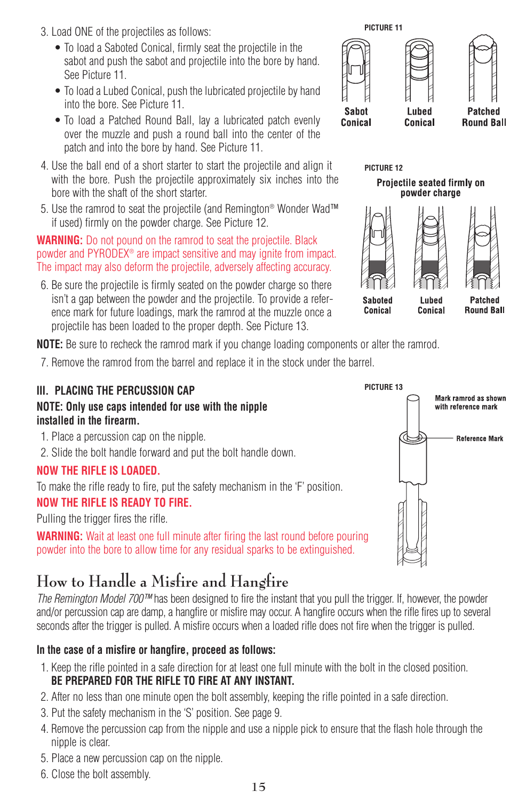- 3. Load ONE of the projectiles as follows:
	- To load a Saboted Conical, firmly seat the projectile in the sabot and push the sabot and projectile into the bore by hand. See Picture 11.
	- To load a Lubed Conical, push the lubricated projectile by hand into the bore. See Picture 11.
	- To load a Patched Round Ball, lay a lubricated patch evenly over the muzzle and push a round ball into the center of the patch and into the bore by hand. See Picture 11.
- 4. Use the ball end of a short starter to start the projectile and align it with the bore. Push the projectile approximately six inches into the bore with the shaft of the short starter.
- 5. Use the ramrod to seat the projectile (and Remington® Wonder Wad™ if used) firmly on the powder charge. See Picture 12.

### **WARNING:** Do not pound on the ramrod to seat the projectile. Black powder and PYRODEX® are impact sensitive and may ignite from impact. The impact may also deform the projectile, adversely affecting accuracy.

6. Be sure the projectile is firmly seated on the powder charge so there isn't a gap between the powder and the projectile. To provide a reference mark for future loadings, mark the ramrod at the muzzle once a projectile has been loaded to the proper depth. See Picture 13.

**NOTE:** Be sure to recheck the ramrod mark if you change loading components or alter the ramrod.

7. Remove the ramrod from the barrel and replace it in the stock under the barrel.



# **How to Handle a Misfire and Hangfire**

*The Remington Model 700™* has been designed to fire the instant that you pull the trigger. If, however, the powder and/or percussion cap are damp, a hangfire or misfire may occur. A hangfire occurs when the rifle fires up to several seconds after the trigger is pulled. A misfire occurs when a loaded rifle does not fire when the trigger is pulled.

### **In the case of a misfire or hangfire, proceed as follows:**

- 1. Keep the rifle pointed in a safe direction for at least one full minute with the bolt in the closed position. **BE PREPARED FOR THE RIFLE TO FIRE AT ANY INSTANT.**
- 2. After no less than one minute open the bolt assembly, keeping the rifle pointed in a safe direction.
- 3. Put the safety mechanism in the 'S' position. See page 9.
- 4. Remove the percussion cap from the nipple and use a nipple pick to ensure that the flash hole through the nipple is clear.
- 5. Place a new percussion cap on the nipple.
- 6. Close the bolt assembly.



**PICTURE 12**

Projectile seated firmly on powder charge



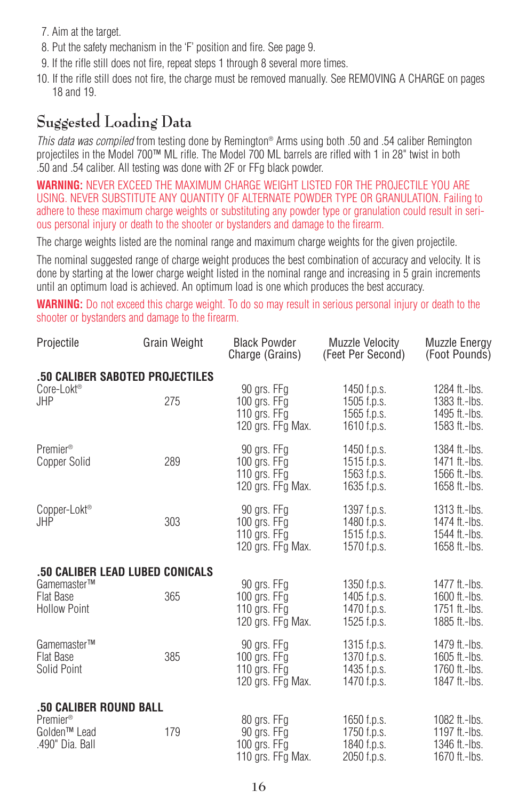- 7. Aim at the target.
- 8. Put the safety mechanism in the 'F' position and fire. See page 9.
- 9. If the rifle still does not fire, repeat steps 1 through 8 several more times.
- 10. If the rifle still does not fire, the charge must be removed manually. See REMOVING A CHARGE on pages 18 and 19.

# **Suggested Loading Data**

*This data was compiled* from testing done by Remington® Arms using both .50 and .54 caliber Remington projectiles in the Model 700™ ML rifle. The Model 700 ML barrels are rifled with 1 in 28" twist in both .50 and .54 caliber. All testing was done with 2F or FFg black powder.

**WARNING:** NEVER EXCEED THE MAXIMUM CHARGE WEIGHT LISTED FOR THE PROJECTILE YOU ARE USING. NEVER SUBSTITUTE ANY QUANTITY OF ALTERNATE POWDER TYPE OR GRANULATION. Failing to adhere to these maximum charge weights or substituting any powder type or granulation could result in serious personal injury or death to the shooter or bystanders and damage to the firearm.

The charge weights listed are the nominal range and maximum charge weights for the given projectile.

The nominal suggested range of charge weight produces the best combination of accuracy and velocity. It is done by starting at the lower charge weight listed in the nominal range and increasing in 5 grain increments until an optimum load is achieved. An optimum load is one which produces the best accuracy.

**WARNING:** Do not exceed this charge weight. To do so may result in serious personal injury or death to the shooter or bystanders and damage to the firearm.

| Projectile                                                                                    | <b>Grain Weight</b> | <b>Black Powder</b><br>Charge (Grains)                               | Muzzle Velocity<br>(Feet Per Second)                     | <b>Muzzle Energy</b><br>(Foot Pounds)                            |
|-----------------------------------------------------------------------------------------------|---------------------|----------------------------------------------------------------------|----------------------------------------------------------|------------------------------------------------------------------|
| .50 CALIBER SABOTED PROJECTILES<br>Core-Lokt <sup>®</sup><br>JHP                              | 275                 | 90 grs. FFg<br>100 grs. FFg<br>110 grs. $FFg$<br>120 grs. FFg Max.   | 1450 f.p.s.<br>1505 f.p.s.<br>1565 f.p.s.<br>1610 f.p.s. | 1284 ft.-lbs.<br>1383 ft.-lbs.<br>1495 ft.-lbs.<br>1583 ft.-lbs. |
| Premier <sup>®</sup><br>Copper Solid                                                          | 289                 | 90 grs. FFg<br>100 grs. $FFg$<br>110 grs. $FFg$<br>120 grs. FFg Max. | 1450 f.p.s.<br>1515 f.p.s.<br>1563 f.p.s.<br>1635 f.p.s. | 1384 ft.-lbs.<br>1471 ft.-lbs.<br>1566 ft.-lbs.<br>1658 ft.-lbs. |
| Copper-Lokt <sup>®</sup><br>JHP                                                               | 303                 | 90 grs. FFg<br>100 grs. $FFg$<br>110 grs. FFg<br>120 grs. FFg Max.   | 1397 f.p.s.<br>1480 f.p.s.<br>1515 f.p.s.<br>1570 f.p.s. | 1313 ft.-lbs.<br>1474 ft.-lbs.<br>1544 ft.-Ibs.<br>1658 ft.-lbs. |
| .50 CALIBER LEAD LUBED CONICALS<br>Gamemaster™<br>Flat Base<br><b>Hollow Point</b>            | 365                 | 90 grs. FFg<br>100 grs. $FFg$<br>110 grs. FFg<br>120 grs. FFg Max.   | 1350 f.p.s.<br>1405 f.p.s.<br>1470 f.p.s.<br>1525 f.p.s. | 1477 ft.-lbs.<br>1600 ft.-lbs.<br>1751 ft.-lbs.<br>1885 ft.-lbs. |
| Gamemaster™<br>Flat Base<br>Solid Point                                                       | 385                 | 90 grs. FFg<br>100 grs. FFg<br>110 grs. FFg<br>120 grs. FFg Max.     | 1315 f.p.s.<br>1370 f.p.s.<br>1435 f.p.s.<br>1470 f.p.s. | 1479 ft.-lbs.<br>1605 ft.-lbs.<br>1760 ft.-lbs.<br>1847 ft.-lbs. |
| .50 CALIBER ROUND BALL<br>Premier <sup>®</sup><br>Golden <sup>™</sup> Lead<br>.490" Dia. Ball | 179                 | 80 grs. FFg<br>90 grs. FFg<br>100 grs. $FFg$<br>110 grs. FFg Max.    | 1650 f.p.s.<br>1750 f.p.s.<br>1840 f.p.s.<br>2050 f.p.s. | 1082 ft.-lbs.<br>1197 ft.-lbs.<br>1346 ft.-lbs.<br>1670 ft.-lbs. |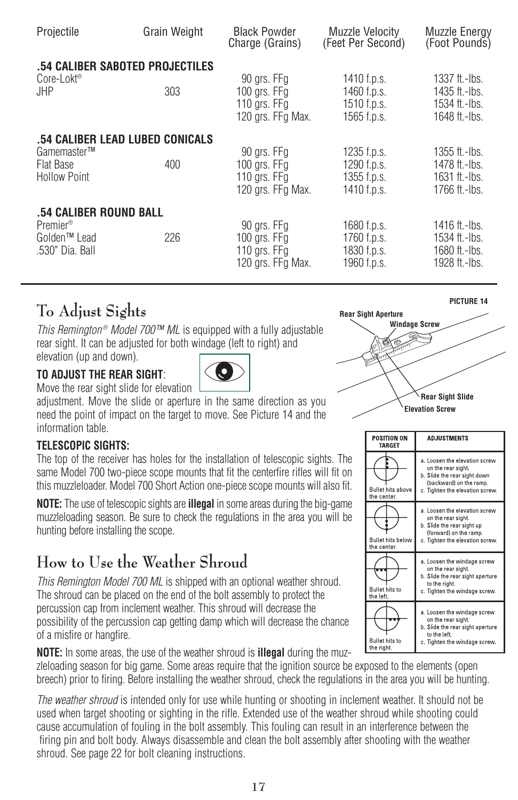| Projectile                                                              | Grain Weight | <b>Black Powder</b><br>Charge (Grains)                           | Muzzle Velocity<br>(Feet Per Second)                     | <b>Muzzle Energy</b><br>(Foot Pounds)                            |
|-------------------------------------------------------------------------|--------------|------------------------------------------------------------------|----------------------------------------------------------|------------------------------------------------------------------|
| .54 CALIBER SABOTED PROJECTILES<br>Core-Lokt <sup>®</sup><br><b>JHP</b> | 303          | 90 grs. FFg<br>100 grs. FFg<br>110 grs. FFg<br>120 grs. FFg Max. | 1410 f.p.s.<br>1460 f.p.s.<br>1510 f.p.s.<br>1565 f.p.s. | 1337 ft.-lbs.<br>1435 ft.-lbs.<br>1534 ft.-lbs.<br>1648 ft.-lbs. |
| .54 CALIBER LEAD LUBED CONICALS                                         | 400          | 90 grs. FFg                                                      | 1235 f.p.s.                                              | 1355 ft.-Ibs.                                                    |
| Gamemaster™                                                             |              | 100 grs. FFg                                                     | 1290 f.p.s.                                              | 1478 ft.-Ibs.                                                    |
| <b>Flat Base</b>                                                        |              | 110 grs. $FFg$                                                   | 1355 f.p.s.                                              | 1631 ft.-lbs.                                                    |
| <b>Hollow Point</b>                                                     |              | 120 grs. FFg Max.                                                | 1410 f.p.s.                                              | 1766 ft.-lbs.                                                    |
| .54 CALIBER ROUND BALL                                                  | 226          | 90 grs. FFg                                                      | 1680 f.p.s.                                              | 1416 ft.-lbs.                                                    |
| Premier <sup>®</sup>                                                    |              | 100 grs. FFg                                                     | 1760 f.p.s.                                              | 1534 ft.-Ibs.                                                    |
| Golden <sup>™</sup> Lead                                                |              | 110 grs. FFg                                                     | 1830 f.p.s.                                              | 1680 ft.-lbs.                                                    |
| .530" Dia. Ball                                                         |              | 120 ars. FFa Max.                                                | 1960 f.p.s.                                              | 1928 ft.-lbs.                                                    |

# **To Adjust Sights**

*This Remington® Model 700™ ML* is equipped with a fully adjustable rear sight. It can be adjusted for both windage (left to right) and elevation (up and down).

### **TO ADJUST THE REAR SIGHT**:



Move the rear sight slide for elevation

adjustment. Move the slide or aperture in the same direction as you need the point of impact on the target to move. See Picture 14 and the information table.

### **TELESCOPIC SIGHTS:**

The top of the receiver has holes for the installation of telescopic sights. The same Model 700 two-piece scope mounts that fit the centerfire rifles will fit on this muzzleloader. Model 700 Short Action one-piece scope mounts will also fit.

**NOTE:** The use of telescopic sights are **illegal** in some areas during the big-game muzzleloading season. Be sure to check the regulations in the area you will be hunting before installing the scope.

# **How to Use the Weather Shroud**

*This Remington Model 700 ML* is shipped with an optional weather shroud. The shroud can be placed on the end of the bolt assembly to protect the percussion cap from inclement weather. This shroud will decrease the possibility of the percussion cap getting damp which will decrease the chance of a misfire or hangfire.

**NOTE:** In some areas, the use of the weather shroud is **illegal** during the muzzleloading season for big game. Some areas require that the ignition source be exposed to the elements (open breech) prior to firing. Before installing the weather shroud, check the regulations in the area you will be hunting.

*The weather shroud* is intended only for use while hunting or shooting in inclement weather. It should not be used when target shooting or sighting in the rifle. Extended use of the weather shroud while shooting could cause accumulation of fouling in the bolt assembly. This fouling can result in an interference between the firing pin and bolt body. Always disassemble and clean the bolt assembly after shooting with the weather shroud. See page 22 for bolt cleaning instructions.



| <b>POSITION ON</b><br><b>TARGET</b>     | <b>ADJUSTMENTS</b>                                                                                                                                |
|-----------------------------------------|---------------------------------------------------------------------------------------------------------------------------------------------------|
| <b>Bullet hits above</b><br>the center. | a. Loosen the elevation screw<br>on the rear sight.<br>b. Slide the rear sight down<br>(backward) on the ramp.<br>c. Tighten the elevation screw. |
| <b>Bullet hits below</b><br>the center. | a. Loosen the elevation screw<br>on the rear sight.<br>b. Slide the rear sight up<br>(forward) on the ramp.<br>c. Tighten the elevation screw.    |
| <b>Bullet hits to</b><br>the left.      | a. Loosen the windage screw<br>on the rear sight.<br>b. Slide the rear sight aperture<br>to the right.<br>c. Tighten the windage screw.           |
| <b>Bullet hits to</b><br>the right.     | a. Loosen the windage screw<br>on the rear sight.<br>b. Slide the rear sight aperture<br>to the left.<br>c. Tighten the windage screw.            |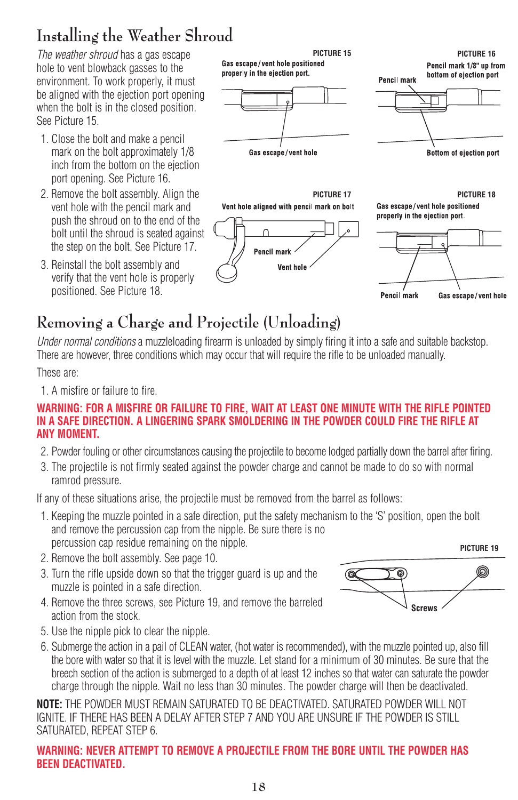# **Installing the Weather Shroud**

*The weather shroud* has a gas escape hole to vent blowback gasses to the environment. To work properly, it must be aligned with the ejection port opening when the bolt is in the closed position. See Picture 15.

- 1. Close the bolt and make a pencil mark on the bolt approximately 1/8 inch from the bottom on the ejection port opening. See Picture 16.
- 2. Remove the bolt assembly. Align the vent hole with the pencil mark and push the shroud on to the end of the bolt until the shroud is seated against the step on the bolt. See Picture 17.
- 3. Reinstall the bolt assembly and verify that the vent hole is properly positioned. See Picture 18.

Gas escape/vent hole positioned properly in the ejection port.





**PICTURE 17** Vent hole aligned with pencil mark on bolt



**PICTURE 18**Gas escape/vent hole positioned properly in the ejection port.



# **Removing a Charge and Projectile (Unloading)**

*Under normal conditions* a muzzleloading firearm is unloaded by simply firing it into a safe and suitable backstop. There are however, three conditions which may occur that will require the rifle to be unloaded manually.

These are:

1. A misfire or failure to fire.

### **WARNING: FOR A MISFIRE OR FAILURE TO FIRE, WAIT AT LEAST ONE MINUTE WITH THE RIFLE POINTED IN A SAFE DIRECTION. A LINGERING SPARK SMOLDERING IN THE POWDER COULD FIRE THE RIFLE AT ANY MOMENT.**

- 2. Powder fouling or other circumstances causing the projectile to become lodged partially down the barrel after firing.
- 3. The projectile is not firmly seated against the powder charge and cannot be made to do so with normal ramrod pressure.

If any of these situations arise, the projectile must be removed from the barrel as follows:

- 1. Keeping the muzzle pointed in a safe direction, put the safety mechanism to the 'S' position, open the bolt and remove the percussion cap from the nipple. Be sure there is no percussion cap residue remaining on the nipple.
- 2. Remove the bolt assembly. See page 10.
- 3. Turn the rifle upside down so that the trigger guard is up and the muzzle is pointed in a safe direction.
- 4. Remove the three screws, see Picture 19, and remove the barreled action from the stock.



- 5. Use the nipple pick to clear the nipple.
- 6. Submerge the action in a pail of CLEAN water, (hot water is recommended), with the muzzle pointed up, also fill the bore with water so that it is level with the muzzle. Let stand for a minimum of 30 minutes. Be sure that the breech section of the action is submerged to a depth of at least 12 inches so that water can saturate the powder charge through the nipple. Wait no less than 30 minutes. The powder charge will then be deactivated.

**NOTE:** THE POWDER MUST REMAIN SATURATED TO BE DEACTIVATED. SATURATED POWDER WILL NOT IGNITE. IF THERE HAS BEEN A DELAY AFTER STEP 7 AND YOU ARE UNSURE IF THE POWDER IS STILL SATURATED, REPEAT STEP 6.

### **WARNING: NEVER ATTEMPT TO REMOVE A PROJECTILE FROM THE BORE UNTIL THE POWDER HAS BEEN DEACTIVATED.**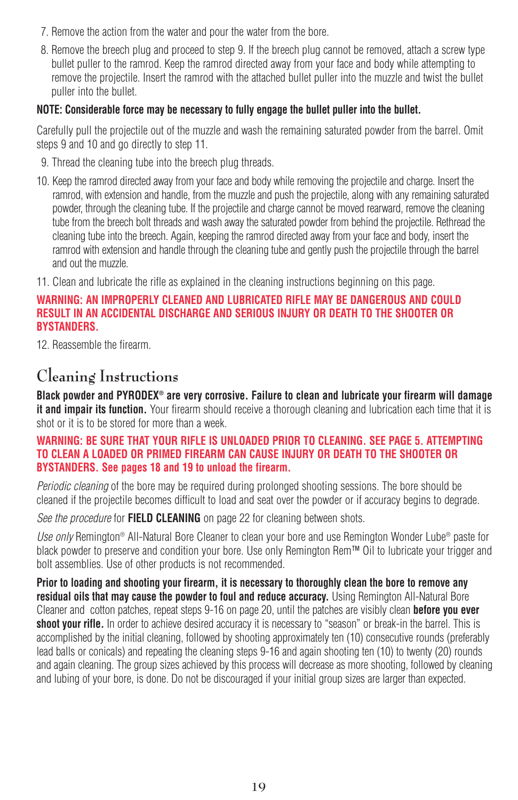- 7. Remove the action from the water and pour the water from the bore.
- 8. Remove the breech plug and proceed to step 9. If the breech plug cannot be removed, attach a screw type bullet puller to the ramrod. Keep the ramrod directed away from your face and body while attempting to remove the projectile. Insert the ramrod with the attached bullet puller into the muzzle and twist the bullet puller into the bullet.

### **NOTE: Considerable force may be necessary to fully engage the bullet puller into the bullet.**

Carefully pull the projectile out of the muzzle and wash the remaining saturated powder from the barrel. Omit steps 9 and 10 and go directly to step 11.

- 9. Thread the cleaning tube into the breech plug threads.
- 10. Keep the ramrod directed away from your face and body while removing the projectile and charge. Insert the ramrod, with extension and handle, from the muzzle and push the projectile, along with any remaining saturated powder, through the cleaning tube. If the projectile and charge cannot be moved rearward, remove the cleaning tube from the breech bolt threads and wash away the saturated powder from behind the projectile. Rethread the cleaning tube into the breech. Again, keeping the ramrod directed away from your face and body, insert the ramrod with extension and handle through the cleaning tube and gently push the projectile through the barrel and out the muzzle.
- 11. Clean and lubricate the rifle as explained in the cleaning instructions beginning on this page.

### **WARNING: AN IMPROPERLY CLEANED AND LUBRICATED RIFLE MAY BE DANGEROUS AND COULD RESULT IN AN ACCIDENTAL DISCHARGE AND SERIOUS INJURY OR DEATH TO THE SHOOTER OR BYSTANDERS.**

12. Reassemble the firearm.

# **Cleaning Instructions**

**Black powder and PYRODEX® are very corrosive. Failure to clean and lubricate your firearm will damage it and impair its function.** Your firearm should receive a thorough cleaning and lubrication each time that it is shot or it is to be stored for more than a week.

### **WARNING: BE SURE THAT YOUR RIFLE IS UNLOADED PRIOR TO CLEANING. SEE PAGE 5. ATTEMPTING TO CLEAN A LOADED OR PRIMED FIREARM CAN CAUSE INJURY OR DEATH TO THE SHOOTER OR BYSTANDERS. See pages 18 and 19 to unload the firearm.**

*Periodic cleaning* of the bore may be required during prolonged shooting sessions. The bore should be cleaned if the projectile becomes difficult to load and seat over the powder or if accuracy begins to degrade.

*See the procedure* for **FIELD CLEANING** on page 22 for cleaning between shots.

*Use only* Remington® All-Natural Bore Cleaner to clean your bore and use Remington Wonder Lube® paste for black powder to preserve and condition your bore. Use only Remington Rem™ Oil to lubricate your trigger and bolt assemblies. Use of other products is not recommended.

**Prior to loading and shooting your firearm, it is necessary to thoroughly clean the bore to remove any residual oils that may cause the powder to foul and reduce accuracy.** Using Remington All-Natural Bore Cleaner and cotton patches, repeat steps 9-16 on page 20, until the patches are visibly clean **before you ever shoot your rifle.** In order to achieve desired accuracy it is necessary to "season" or break-in the barrel. This is accomplished by the initial cleaning, followed by shooting approximately ten (10) consecutive rounds (preferably lead balls or conicals) and repeating the cleaning steps 9-16 and again shooting ten (10) to twenty (20) rounds and again cleaning. The group sizes achieved by this process will decrease as more shooting, followed by cleaning and lubing of your bore, is done. Do not be discouraged if your initial group sizes are larger than expected.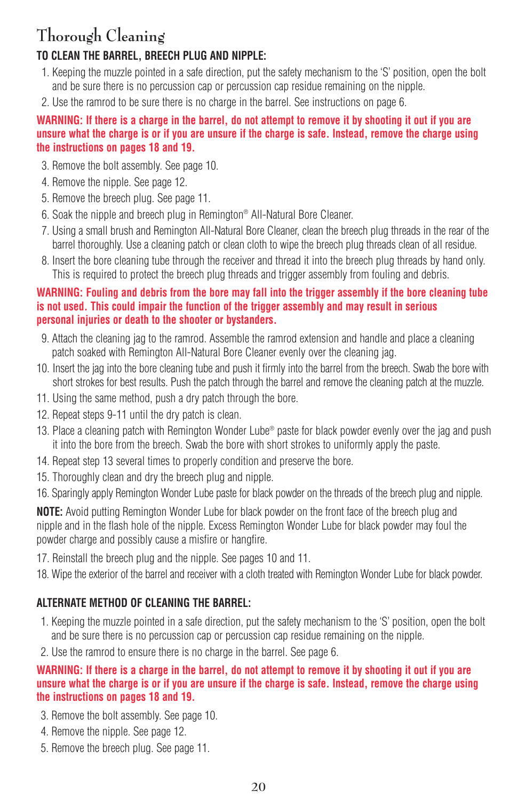# **Thorough Cleaning**

### **TO CLEAN THE BARREL, BREECH PLUG AND NIPPLE:**

- 1. Keeping the muzzle pointed in a safe direction, put the safety mechanism to the 'S' position, open the bolt and be sure there is no percussion cap or percussion cap residue remaining on the nipple.
- 2. Use the ramrod to be sure there is no charge in the barrel. See instructions on page 6.

### **WARNING: If there is a charge in the barrel, do not attempt to remove it by shooting it out if you are unsure what the charge is or if you are unsure if the charge is safe. Instead, remove the charge using the instructions on pages 18 and 19.**

- 3. Remove the bolt assembly. See page 10.
- 4. Remove the nipple. See page 12.
- 5. Remove the breech plug. See page 11.
- 6. Soak the nipple and breech plug in Remington® All-Natural Bore Cleaner.
- 7. Using a small brush and Remington All-Natural Bore Cleaner, clean the breech plug threads in the rear of the barrel thoroughly. Use a cleaning patch or clean cloth to wipe the breech plug threads clean of all residue.
- 8. Insert the bore cleaning tube through the receiver and thread it into the breech plug threads by hand only. This is required to protect the breech plug threads and trigger assembly from fouling and debris.

### **WARNING: Fouling and debris from the bore may fall into the trigger assembly if the bore cleaning tube is not used. This could impair the function of the trigger assembly and may result in serious personal injuries or death to the shooter or bystanders.**

- 9. Attach the cleaning jag to the ramrod. Assemble the ramrod extension and handle and place a cleaning patch soaked with Remington All-Natural Bore Cleaner evenly over the cleaning jag.
- 10. Insert the jag into the bore cleaning tube and push it firmly into the barrel from the breech. Swab the bore with short strokes for best results. Push the patch through the barrel and remove the cleaning patch at the muzzle.
- 11. Using the same method, push a dry patch through the bore.
- 12. Repeat steps 9-11 until the dry patch is clean.
- 13. Place a cleaning patch with Remington Wonder Lube® paste for black powder evenly over the jag and push it into the bore from the breech. Swab the bore with short strokes to uniformly apply the paste.
- 14. Repeat step 13 several times to properly condition and preserve the bore.
- 15. Thoroughly clean and dry the breech plug and nipple.
- 16. Sparingly apply Remington Wonder Lube paste for black powder on the threads of the breech plug and nipple.

**NOTE:** Avoid putting Remington Wonder Lube for black powder on the front face of the breech plug and nipple and in the flash hole of the nipple. Excess Remington Wonder Lube for black powder may foul the powder charge and possibly cause a misfire or hangfire.

- 17. Reinstall the breech plug and the nipple. See pages 10 and 11.
- 18. Wipe the exterior of the barrel and receiver with a cloth treated with Remington Wonder Lube for black powder.

### **ALTERNATE METHOD OF CLEANING THE BARREL:**

- 1. Keeping the muzzle pointed in a safe direction, put the safety mechanism to the 'S' position, open the bolt and be sure there is no percussion cap or percussion cap residue remaining on the nipple.
- 2. Use the ramrod to ensure there is no charge in the barrel. See page 6.

### **WARNING: If there is a charge in the barrel, do not attempt to remove it by shooting it out if you are unsure what the charge is or if you are unsure if the charge is safe. Instead, remove the charge using the instructions on pages 18 and 19.**

- 3. Remove the bolt assembly. See page 10.
- 4. Remove the nipple. See page 12.
- 5. Remove the breech plug. See page 11.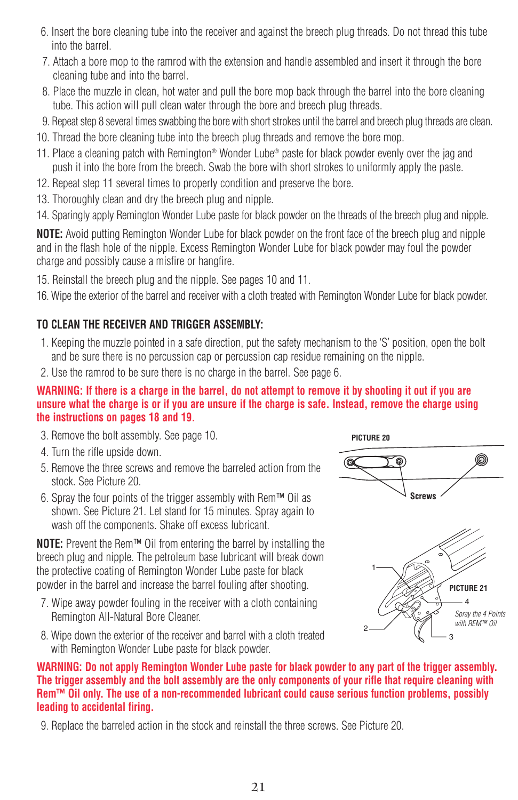- 6. Insert the bore cleaning tube into the receiver and against the breech plug threads. Do not thread this tube into the barrel.
- 7. Attach a bore mop to the ramrod with the extension and handle assembled and insert it through the bore cleaning tube and into the barrel.
- 8. Place the muzzle in clean, hot water and pull the bore mop back through the barrel into the bore cleaning tube. This action will pull clean water through the bore and breech plug threads.
- 9. Repeat step 8 several times swabbing the bore with short strokes until the barrel and breech plug threads are clean.
- 10. Thread the bore cleaning tube into the breech plug threads and remove the bore mop.
- 11. Place a cleaning patch with Remington® Wonder Lube® paste for black powder evenly over the jag and push it into the bore from the breech. Swab the bore with short strokes to uniformly apply the paste.
- 12. Repeat step 11 several times to properly condition and preserve the bore.
- 13. Thoroughly clean and dry the breech plug and nipple.
- 14. Sparingly apply Remington Wonder Lube paste for black powder on the threads of the breech plug and nipple.

**NOTE:** Avoid putting Remington Wonder Lube for black powder on the front face of the breech plug and nipple and in the flash hole of the nipple. Excess Remington Wonder Lube for black powder may foul the powder charge and possibly cause a misfire or hangfire.

15. Reinstall the breech plug and the nipple. See pages 10 and 11.

16. Wipe the exterior of the barrel and receiver with a cloth treated with Remington Wonder Lube for black powder.

### **TO CLEAN THE RECEIVER AND TRIGGER ASSEMBLY:**

- 1. Keeping the muzzle pointed in a safe direction, put the safety mechanism to the 'S' position, open the bolt and be sure there is no percussion cap or percussion cap residue remaining on the nipple.
- 2. Use the ramrod to be sure there is no charge in the barrel. See page 6.

### **WARNING: If there is a charge in the barrel, do not attempt to remove it by shooting it out if you are unsure what the charge is or if you are unsure if the charge is safe. Instead, remove the charge using the instructions on pages 18 and 19.**

- 3. Remove the bolt assembly. See page 10.
- 4. Turn the rifle upside down.
- 5. Remove the three screws and remove the barreled action from the stock. See Picture 20.
- 6. Spray the four points of the trigger assembly with Rem™ Oil as shown. See Picture 21. Let stand for 15 minutes. Spray again to wash off the components. Shake off excess lubricant.

**NOTE:** Prevent the Rem™ Oil from entering the barrel by installing the breech plug and nipple. The petroleum base lubricant will break down the protective coating of Remington Wonder Lube paste for black powder in the barrel and increase the barrel fouling after shooting.

- 7. Wipe away powder fouling in the receiver with a cloth containing Remington All-Natural Bore Cleaner.
- 8. Wipe down the exterior of the receiver and barrel with a cloth treated with Remington Wonder Lube paste for black powder.





**WARNING: Do not apply Remington Wonder Lube paste for black powder to any part of the trigger assembly. The trigger assembly and the bolt assembly are the only components of your rifle that require cleaning with Rem™ Oil only. The use of a non-recommended lubricant could cause serious function problems, possibly leading to accidental firing.**

9. Replace the barreled action in the stock and reinstall the three screws. See Picture 20.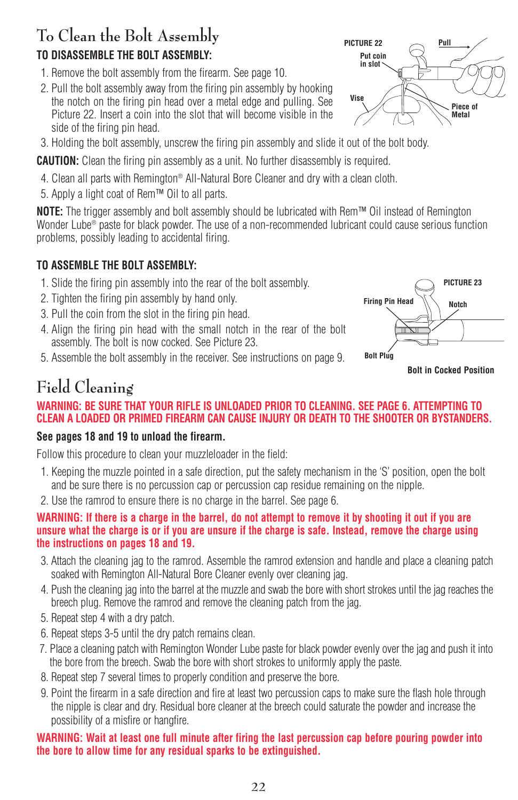# **To Clean the Bolt Assembly TO DISASSEMBLE THE BOLT ASSEMBLY:**

- 1. Remove the bolt assembly from the firearm. See page 10.
- 2. Pull the bolt assembly away from the firing pin assembly by hooking the notch on the firing pin head over a metal edge and pulling. See Picture 22. Insert a coin into the slot that will become visible in the side of the firing pin head.
- 3. Holding the bolt assembly, unscrew the firing pin assembly and slide it out of the bolt body.

**CAUTION:** Clean the firing pin assembly as a unit. No further disassembly is required.

- 4. Clean all parts with Remington® All-Natural Bore Cleaner and dry with a clean cloth.
- 5. Apply a light coat of Rem™ Oil to all parts.

**NOTE:** The trigger assembly and bolt assembly should be lubricated with Rem™ Oil instead of Remington Wonder Lube® paste for black powder. The use of a non-recommended lubricant could cause serious function problems, possibly leading to accidental firing.

### **TO ASSEMBLE THE BOLT ASSEMBLY:**

- 1. Slide the firing pin assembly into the rear of the bolt assembly.
- 2. Tighten the firing pin assembly by hand only.
- 3. Pull the coin from the slot in the firing pin head.
- 4. Align the firing pin head with the small notch in the rear of the bolt assembly. The bolt is now cocked. See Picture 23.
- 5. Assemble the bolt assembly in the receiver. See instructions on page 9.



**Bolt in Cocked Position**

# **Field Cleaning**

### **WARNING: BE SURE THAT YOUR RIFLE IS UNLOADED PRIOR TO CLEANING. SEE PAGE 6. ATTEMPTING TO CLEAN A LOADED OR PRIMED FIREARM CAN CAUSE INJURY OR DEATH TO THE SHOOTER OR BYSTANDERS.**

### **See pages 18 and 19 to unload the firearm.**

Follow this procedure to clean your muzzleloader in the field:

- 1. Keeping the muzzle pointed in a safe direction, put the safety mechanism in the 'S' position, open the bolt and be sure there is no percussion cap or percussion cap residue remaining on the nipple.
- 2. Use the ramrod to ensure there is no charge in the barrel. See page 6.

### **WARNING: If there is a charge in the barrel, do not attempt to remove it by shooting it out if you are unsure what the charge is or if you are unsure if the charge is safe. Instead, remove the charge using the instructions on pages 18 and 19.**

- 3. Attach the cleaning jag to the ramrod. Assemble the ramrod extension and handle and place a cleaning patch soaked with Remington All-Natural Bore Cleaner evenly over cleaning jag.
- 4. Push the cleaning jag into the barrel at the muzzle and swab the bore with short strokes until the jag reaches the breech plug. Remove the ramrod and remove the cleaning patch from the jag.
- 5. Repeat step 4 with a dry patch.
- 6. Repeat steps 3-5 until the dry patch remains clean.
- 7. Place a cleaning patch with Remington Wonder Lube paste for black powder evenly over the jag and push it into the bore from the breech. Swab the bore with short strokes to uniformly apply the paste.
- 8. Repeat step 7 several times to properly condition and preserve the bore.
- 9. Point the firearm in a safe direction and fire at least two percussion caps to make sure the flash hole through the nipple is clear and dry. Residual bore cleaner at the breech could saturate the powder and increase the possibility of a misfire or hangfire.

### **WARNING: Wait at least one full minute after firing the last percussion cap before pouring powder into the bore to allow time for any residual sparks to be extinguished.**

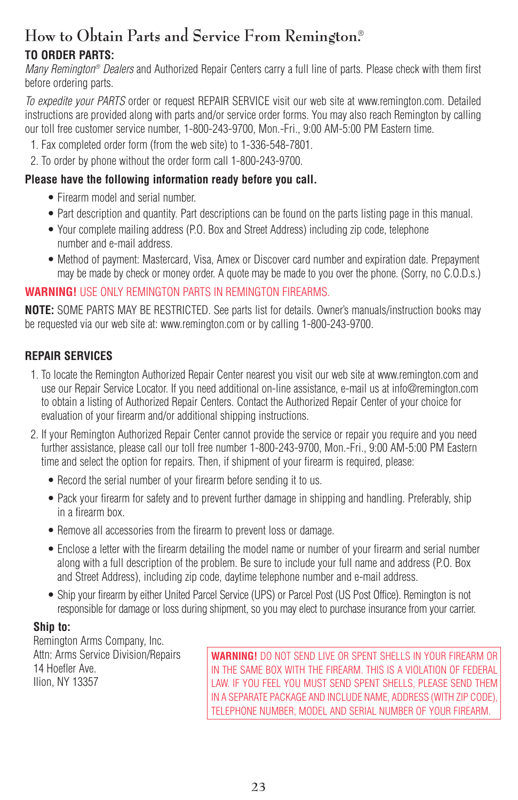# **How to Obtain Parts and Service From Remington.**® **TO ORDER PARTS:**

*Many Remington® Dealers* and Authorized Repair Centers carry a full line of parts. Please check with them first before ordering parts.

*To expedite your PARTS* order or request REPAIR SERVICE visit our web site at www.remington.com. Detailed instructions are provided along with parts and/or service order forms. You may also reach Remington by calling our toll free customer service number, 1-800-243-9700, Mon.-Fri., 9:00 AM-5:00 PM Eastern time.

- 1. Fax completed order form (from the web site) to 1-336-548-7801.
- 2. To order by phone without the order form call 1-800-243-9700.

### **Please have the following information ready before you call.**

- Firearm model and serial number.
- Part description and quantity. Part descriptions can be found on the parts listing page in this manual.
- Your complete mailing address (P.O. Box and Street Address) including zip code, telephone number and e-mail address.
- Method of payment: Mastercard, Visa, Amex or Discover card number and expiration date. Prepayment may be made by check or money order. A quote may be made to you over the phone. (Sorry, no C.O.D.s.)

### **WARNING!** USE ONLY REMINGTON PARTS IN REMINGTON FIREARMS.

**NOTE:** SOME PARTS MAY BE RESTRICTED. See parts list for details. Owner's manuals/instruction books may be requested via our web site at: www.remington.com or by calling 1-800-243-9700.

### **REPAIR SERVICES**

- 1. To locate the Remington Authorized Repair Center nearest you visit our web site at www.remington.com and use our Repair Service Locator. If you need additional on-line assistance, e-mail us at info@remington.com to obtain a listing of Authorized Repair Centers. Contact the Authorized Repair Center of your choice for evaluation of your firearm and/or additional shipping instructions.
- 2. If your Remington Authorized Repair Center cannot provide the service or repair you require and you need further assistance, please call our toll free number 1-800-243-9700, Mon.-Fri., 9:00 AM-5:00 PM Eastern time and select the option for repairs. Then, if shipment of your firearm is required, please:
	- Record the serial number of your firearm before sending it to us.
	- Pack your firearm for safety and to prevent further damage in shipping and handling. Preferably, ship in a firearm box.
	- Remove all accessories from the firearm to prevent loss or damage.
	- Enclose a letter with the firearm detailing the model name or number of your firearm and serial number along with a full description of the problem. Be sure to include your full name and address (P.O. Box and Street Address), including zip code, daytime telephone number and e-mail address.
	- Ship your firearm by either United Parcel Service (UPS) or Parcel Post (US Post Office). Remington is not responsible for damage or loss during shipment, so you may elect to purchase insurance from your carrier.

### **Ship to:**

Remington Arms Company, Inc. Attn: Arms Service Division/Repairs 14 Hoefler Ave. Ilion, NY 13357

**WARNING!** DO NOT SEND LIVE OR SPENT SHELLS IN YOUR FIREARM OR IN THE SAME BOX WITH THE FIREARM. THIS IS A VIOLATION OF FEDERAL LAW. IF YOU FEEL YOU MUST SEND SPENT SHELLS, PLEASE SEND THEM IN A SEPARATE PACKAGE AND INCLUDE NAME, ADDRESS (WITH ZIP CODE), TELEPHONE NUMBER, MODEL AND SERIAL NUMBER OF YOUR FIREARM.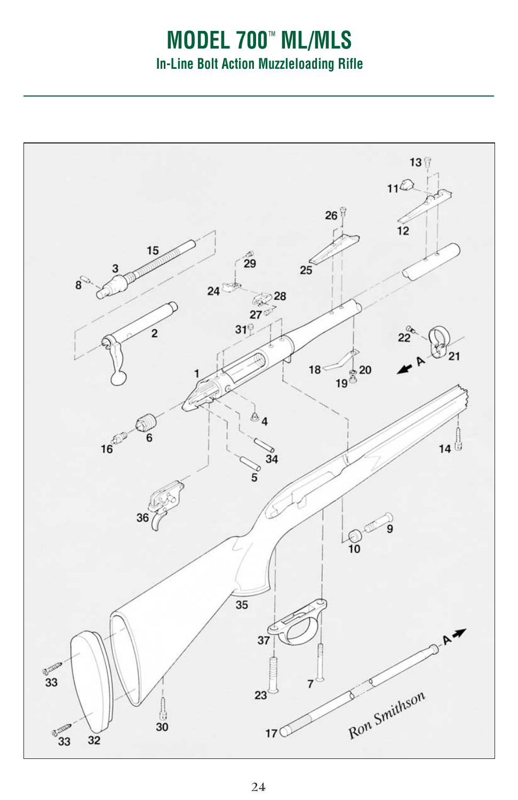# **MODEL 700**™ **ML/MLS In-Line Bolt Action Muzzleloading Rifle**

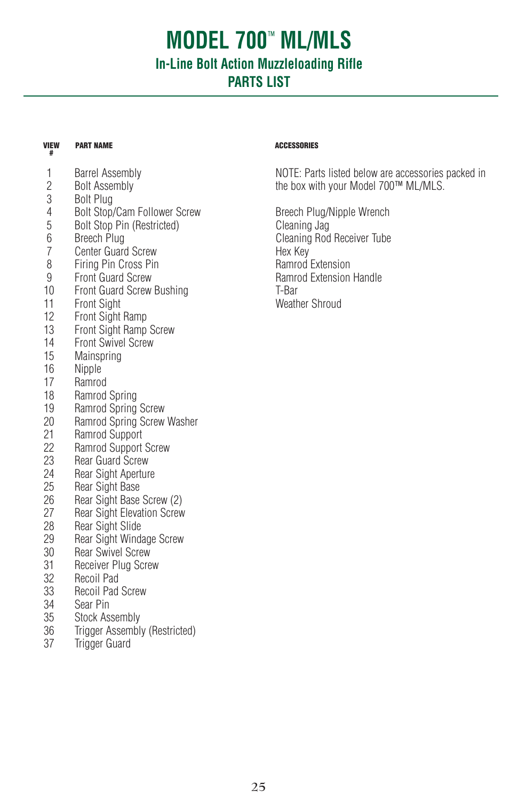# **MODEL 700**™ **ML/MLS In-Line Bolt Action Muzzleloading Rifle PARTS LIST**

### **VIEW #**

### 1 Barrel Assembly<br>2 Bolt Assembly 2 Bolt Assembly Bolt Plug 4 Bolt Stop/Cam Follower Screw<br>5 Bolt Stop Pin (Restricted) 5 Bolt Stop Pin (Restricted) 6 Breech Plug<br>7 Center Guard 7 Center Guard Screw<br>8 Firing Pin Cross Pin 8 Firing Pin Cross Pin<br>9 Front Guard Screw **Front Guard Screw** 10 Front Guard Screw Bushing<br>11 Front Sight 11 Front Sight<br>12 Front Sight **Front Sight Ramp** 13 Front Sight Ramp Screw<br>14 Front Swivel Screw 14 Front Swivel Screw<br>15 Mainspring Mainspring 16 Nipple<br>17 Ramroc 17 Ramrod<br>18 Ramrod Ramrod Spring 19 Ramrod Spring Screw<br>20 Ramrod Spring Screw 20 Ramrod Spring Screw Washer<br>21 Ramrod Sunnort 21 Ramrod Support<br>22 Ramrod Support 22 Ramrod Support Screw<br>23 Rear Guard Screw 23 Rear Guard Screw<br>24 Rear Sight Apertur 24 Rear Sight Aperture<br>25 Rear Sight Base 25 Rear Sight Base<br>26 Rear Sight Base 26 Rear Sight Base Screw (2)<br>27 Rear Sight Elevation Screw **Rear Sight Elevation Screw** 28 Rear Sight Slide<br>29 Rear Sight Wind 29 Rear Sight Windage Screw<br>30 Rear Swivel Screw **Rear Swivel Screw** 31 Receiver Plug Screw<br>32 Recoil Pad 32 Recoil Pad 33 Recoil Pad Screw 34 Sear Pin<br>35 Stock As 35 Stock Assembly<br>36 Trigger Assembl

- Trigger Assembly (Restricted)
- 37 Trigger Guard

### **PART NAME ACCESSORIES**

NOTE: Parts listed below are accessories packed in the box with your Model 700™ ML/MLS.

Breech Plug/Nipple Wrench Cleaning Jag Cleaning Rod Receiver Tube Hex Key Ramrod Extension Ramrod Extension Handle T-Bar Weather Shroud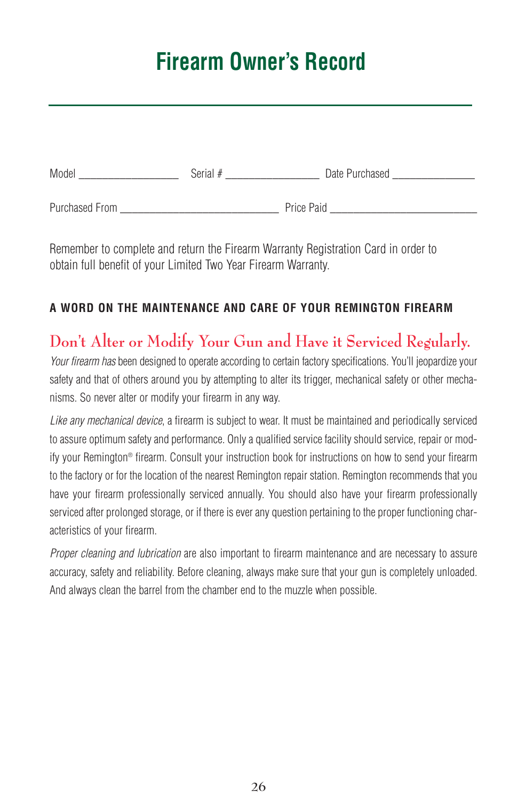# **Firearm Owner's Record**

| Model          | Serial $#$ | Date Purchased |
|----------------|------------|----------------|
| Purchased From |            | Price Paid     |

Remember to complete and return the Firearm Warranty Registration Card in order to obtain full benefit of your Limited Two Year Firearm Warranty.

### **A WORD ON THE MAINTENANCE AND CARE OF YOUR REMINGTON FIREARM**

# **Don't Alter or Modify Your Gun and Have it Serviced Regularly.**

*Your firearm has* been designed to operate according to certain factory specifications. You'll jeopardize your safety and that of others around you by attempting to alter its trigger, mechanical safety or other mechanisms. So never alter or modify your firearm in any way.

*Like any mechanical device*, a firearm is subject to wear. It must be maintained and periodically serviced to assure optimum safety and performance. Only a qualified service facility should service, repair or modify your Remington® firearm. Consult your instruction book for instructions on how to send your firearm to the factory or for the location of the nearest Remington repair station. Remington recommends that you have your firearm professionally serviced annually. You should also have your firearm professionally serviced after prolonged storage, or if there is ever any question pertaining to the proper functioning characteristics of your firearm.

*Proper cleaning and lubrication* are also important to firearm maintenance and are necessary to assure accuracy, safety and reliability. Before cleaning, always make sure that your gun is completely unloaded. And always clean the barrel from the chamber end to the muzzle when possible.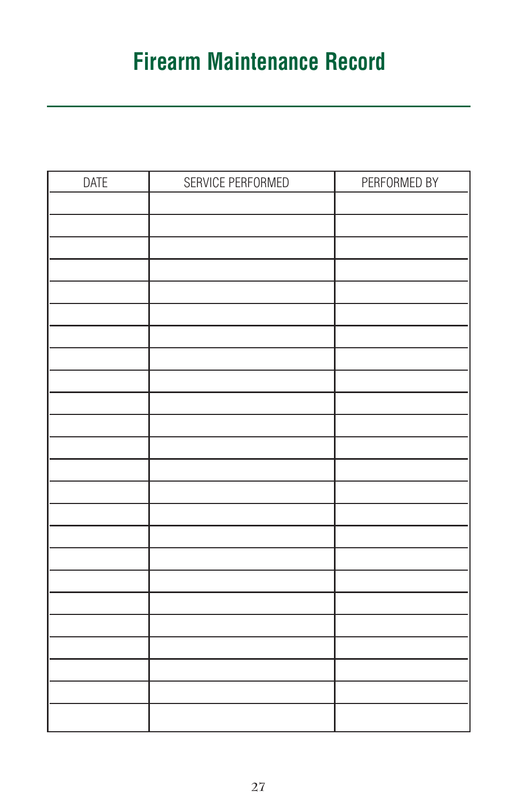# **Firearm Maintenance Record**

| <b>DATE</b> | SERVICE PERFORMED | PERFORMED BY |
|-------------|-------------------|--------------|
|             |                   |              |
|             |                   |              |
|             |                   |              |
|             |                   |              |
|             |                   |              |
|             |                   |              |
|             |                   |              |
|             |                   |              |
|             |                   |              |
|             |                   |              |
|             |                   |              |
|             |                   |              |
|             |                   |              |
|             |                   |              |
|             |                   |              |
|             |                   |              |
|             |                   |              |
|             |                   |              |
|             |                   |              |
|             |                   |              |
|             |                   |              |
|             |                   |              |
|             |                   |              |
|             |                   |              |